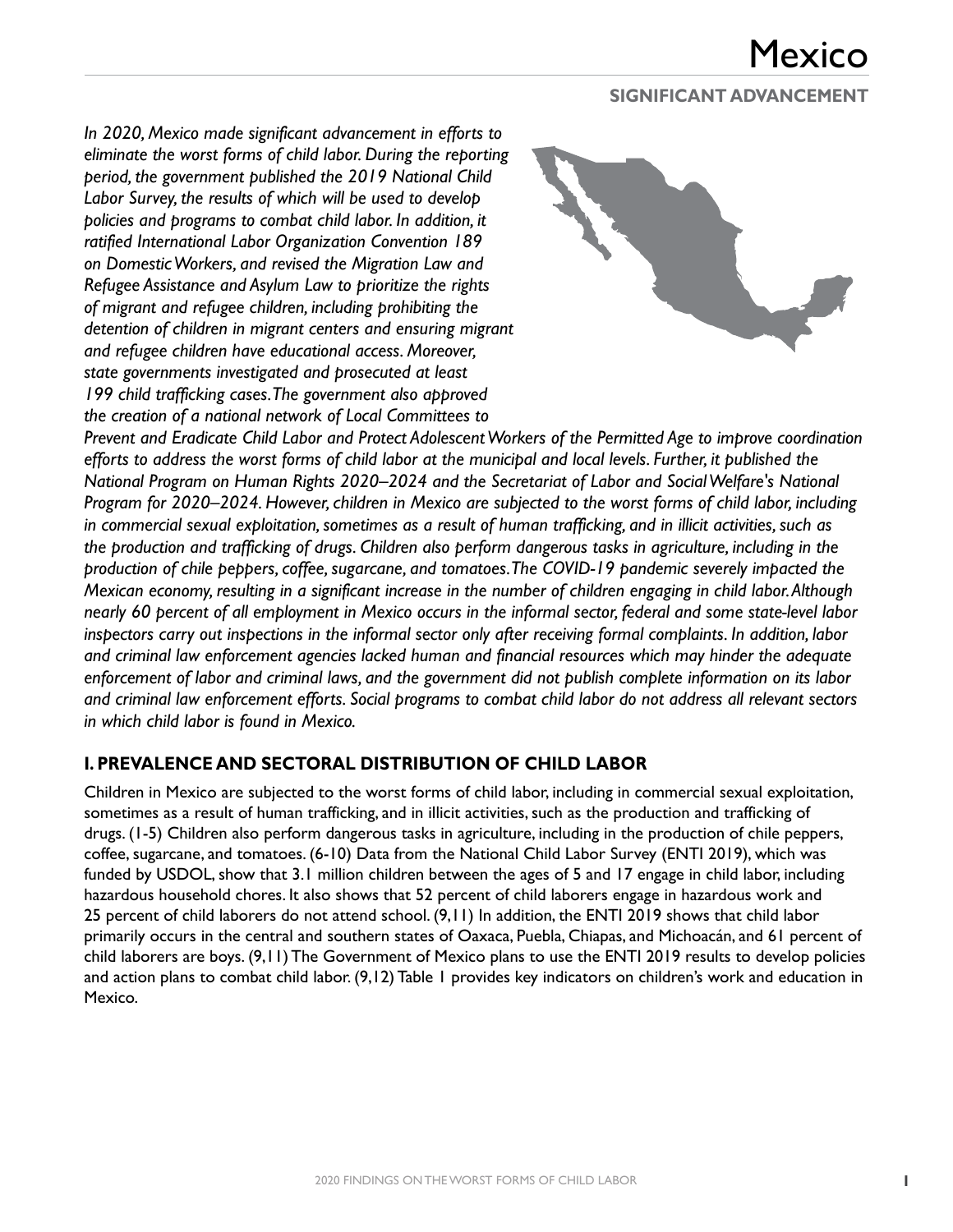#### **SIGNIFICANT ADVANCEMENT**

*In 2020, Mexico made significant advancement in efforts to eliminate the worst forms of child labor. During the reporting period, the government published the 2019 National Child Labor Survey, the results of which will be used to develop policies and programs to combat child labor. In addition, it ratified International Labor Organization Convention 189 on Domestic Workers, and revised the Migration Law and Refugee Assistance and Asylum Law to prioritize the rights of migrant and refugee children, including prohibiting the detention of children in migrant centers and ensuring migrant and refugee children have educational access. Moreover, state governments investigated and prosecuted at least 199 child trafficking cases. The government also approved the creation of a national network of Local Committees to* 



*Prevent and Eradicate Child Labor and Protect Adolescent Workers of the Permitted Age to improve coordination efforts to address the worst forms of child labor at the municipal and local levels. Further, it published the National Program on Human Rights 2020–2024 and the Secretariat of Labor and Social Welfare's National Program for 2020–2024. However, children in Mexico are subjected to the worst forms of child labor, including in commercial sexual exploitation, sometimes as a result of human trafficking, and in illicit activities, such as the production and trafficking of drugs. Children also perform dangerous tasks in agriculture, including in the production of chile peppers, coffee, sugarcane, and tomatoes. The COVID-19 pandemic severely impacted the Mexican economy, resulting in a significant increase in the number of children engaging in child labor. Although nearly 60 percent of all employment in Mexico occurs in the informal sector, federal and some state-level labor inspectors carry out inspections in the informal sector only after receiving formal complaints. In addition, labor and criminal law enforcement agencies lacked human and financial resources which may hinder the adequate enforcement of labor and criminal laws, and the government did not publish complete information on its labor and criminal law enforcement efforts. Social programs to combat child labor do not address all relevant sectors in which child labor is found in Mexico.*

### **I. PREVALENCE AND SECTORAL DISTRIBUTION OF CHILD LABOR**

Children in Mexico are subjected to the worst forms of child labor, including in commercial sexual exploitation, sometimes as a result of human trafficking, and in illicit activities, such as the production and trafficking of drugs. (1-5) Children also perform dangerous tasks in agriculture, including in the production of chile peppers, coffee, sugarcane, and tomatoes. (6-10) Data from the National Child Labor Survey (ENTI 2019), which was funded by USDOL, show that 3.1 million children between the ages of 5 and 17 engage in child labor, including hazardous household chores. It also shows that 52 percent of child laborers engage in hazardous work and 25 percent of child laborers do not attend school. (9,11) In addition, the ENTI 2019 shows that child labor primarily occurs in the central and southern states of Oaxaca, Puebla, Chiapas, and Michoacán, and 61 percent of child laborers are boys. (9,11) The Government of Mexico plans to use the ENTI 2019 results to develop policies and action plans to combat child labor. (9,12) Table 1 provides key indicators on children's work and education in Mexico.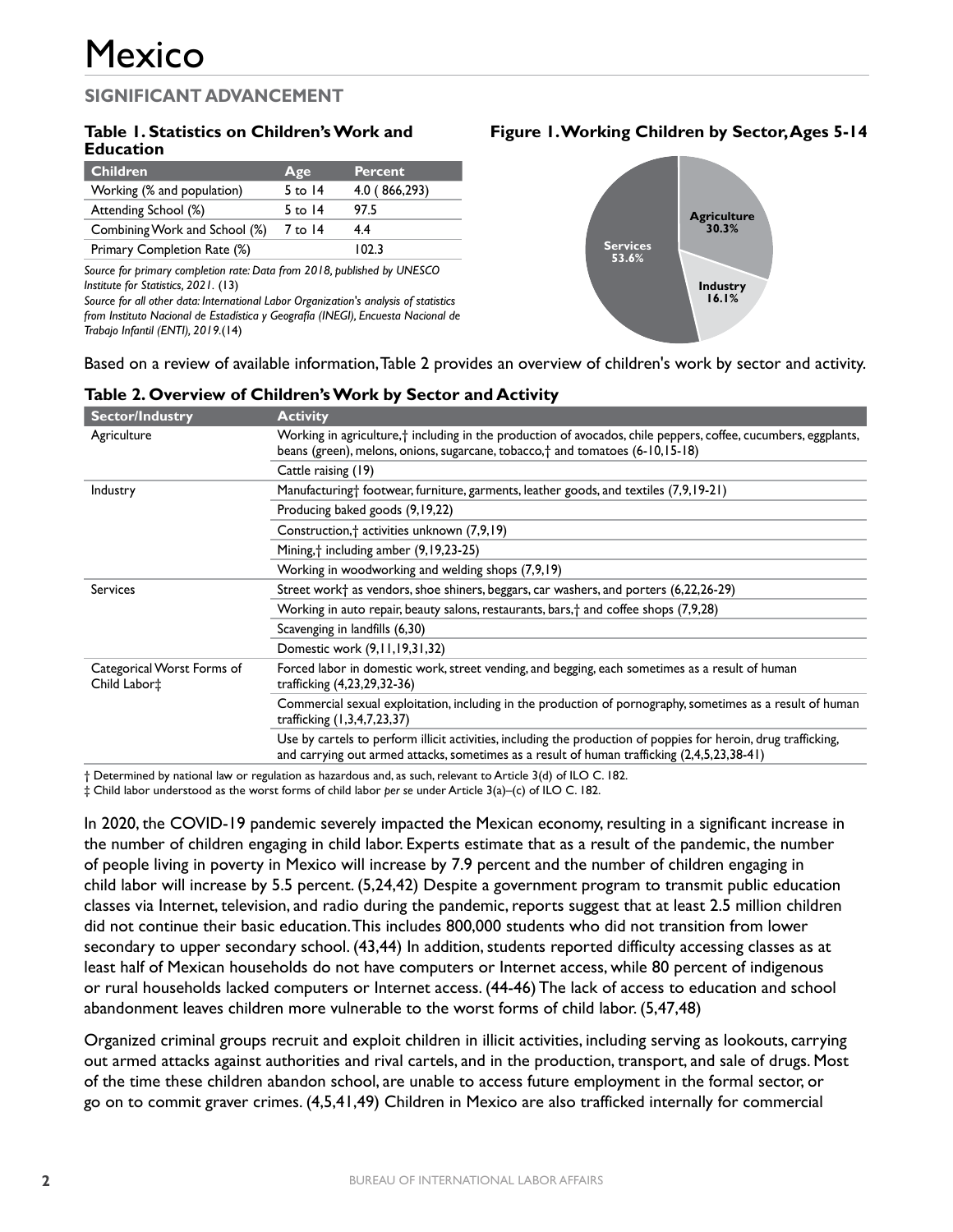#### **Table 1. Statistics on Children's Work and Education**

| Children                      | Age       | <b>Percent</b> |
|-------------------------------|-----------|----------------|
| Working (% and population)    | 5 to $14$ | 4.0 (866,293)  |
| Attending School (%)          | 5 to $14$ | 97.5           |
| Combining Work and School (%) | 7 to 14   | 4.4            |
| Primary Completion Rate (%)   |           | ר כחו          |

*Source for primary completion rate: Data from 2018, published by UNESCO Institute for Statistics, 2021.* (13)

*Source for all other data: International Labor Organization's analysis of statistics from Instituto Nacional de Estadística y Geografía (INEGI), Encuesta Nacional de Trabajo Infantil (ENTI), 2019.*(14)

#### **Figure 1. Working Children by Sector, Ages 5-14**



Based on a review of available information, Table 2 provides an overview of children's work by sector and activity.

| <b>Sector/Industry</b>                     | <b>Activity</b>                                                                                                                                                                                                      |  |
|--------------------------------------------|----------------------------------------------------------------------------------------------------------------------------------------------------------------------------------------------------------------------|--|
| Agriculture                                | Working in agriculture, <sup>†</sup> including in the production of avocados, chile peppers, coffee, cucumbers, eggplants,<br>beans (green), melons, onions, sugarcane, tobacco, $\dagger$ and tomatoes (6-10,15-18) |  |
|                                            | Cattle raising (19)                                                                                                                                                                                                  |  |
| Industry                                   | Manufacturing† footwear, furniture, garments, leather goods, and textiles (7,9,19-21)                                                                                                                                |  |
|                                            | Producing baked goods (9,19,22)                                                                                                                                                                                      |  |
|                                            | Construction, <sup>†</sup> activities unknown (7,9,19)                                                                                                                                                               |  |
|                                            | Mining, † including amber (9,19,23-25)                                                                                                                                                                               |  |
|                                            | Working in woodworking and welding shops (7,9,19)                                                                                                                                                                    |  |
| <b>Services</b>                            | Street work <sup>+</sup> as vendors, shoe shiners, beggars, car washers, and porters (6,22,26-29)                                                                                                                    |  |
|                                            | Working in auto repair, beauty salons, restaurants, bars, † and coffee shops (7,9,28)                                                                                                                                |  |
|                                            | Scavenging in landfills (6,30)                                                                                                                                                                                       |  |
|                                            | Domestic work (9,11,19,31,32)                                                                                                                                                                                        |  |
| Categorical Worst Forms of<br>Child Labor‡ | Forced labor in domestic work, street vending, and begging, each sometimes as a result of human<br>trafficking (4,23,29,32-36)                                                                                       |  |
|                                            | Commercial sexual exploitation, including in the production of pornography, sometimes as a result of human<br>trafficking (1,3,4,7,23,37)                                                                            |  |
|                                            | Use by cartels to perform illicit activities, including the production of poppies for heroin, drug trafficking,<br>and carrying out armed attacks, sometimes as a result of human trafficking (2,4,5,23,38-41)       |  |

#### **Table 2. Overview of Children's Work by Sector and Activity**

† Determined by national law or regulation as hazardous and, as such, relevant to Article 3(d) of ILO C. 182.

‡ Child labor understood as the worst forms of child labor *per se* under Article 3(a)–(c) of ILO C. 182.

In 2020, the COVID-19 pandemic severely impacted the Mexican economy, resulting in a significant increase in the number of children engaging in child labor. Experts estimate that as a result of the pandemic, the number of people living in poverty in Mexico will increase by 7.9 percent and the number of children engaging in child labor will increase by 5.5 percent. (5,24,42) Despite a government program to transmit public education classes via Internet, television, and radio during the pandemic, reports suggest that at least 2.5 million children did not continue their basic education. This includes 800,000 students who did not transition from lower secondary to upper secondary school. (43,44) In addition, students reported difficulty accessing classes as at least half of Mexican households do not have computers or Internet access, while 80 percent of indigenous or rural households lacked computers or Internet access. (44-46) The lack of access to education and school abandonment leaves children more vulnerable to the worst forms of child labor. (5,47,48)

Organized criminal groups recruit and exploit children in illicit activities, including serving as lookouts, carrying out armed attacks against authorities and rival cartels, and in the production, transport, and sale of drugs. Most of the time these children abandon school, are unable to access future employment in the formal sector, or go on to commit graver crimes. (4,5,41,49) Children in Mexico are also trafficked internally for commercial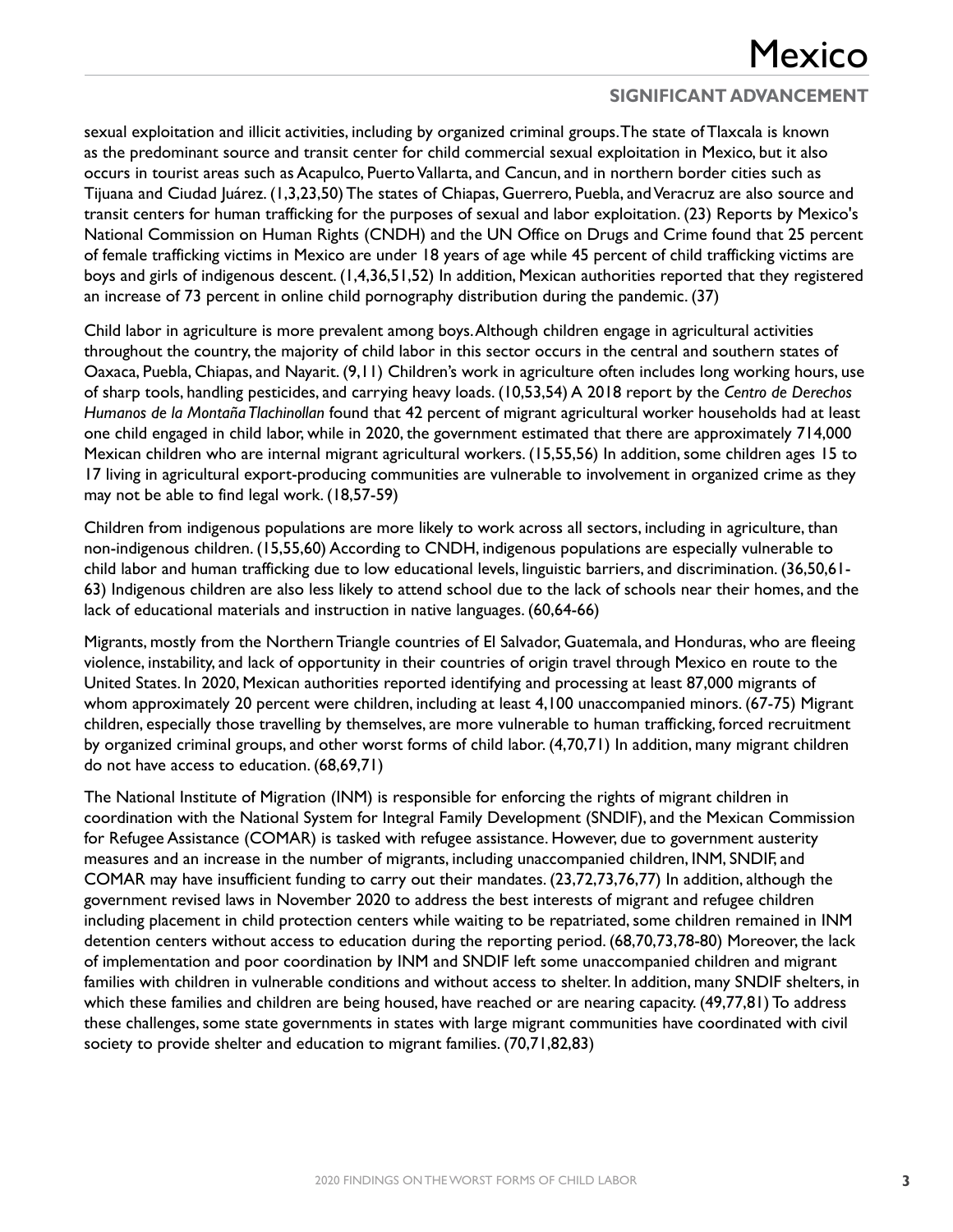sexual exploitation and illicit activities, including by organized criminal groups. The state of Tlaxcala is known as the predominant source and transit center for child commercial sexual exploitation in Mexico, but it also occurs in tourist areas such as Acapulco, Puerto Vallarta, and Cancun, and in northern border cities such as Tijuana and Ciudad Juárez. (1,3,23,50) The states of Chiapas, Guerrero, Puebla, and Veracruz are also source and transit centers for human trafficking for the purposes of sexual and labor exploitation. (23) Reports by Mexico's National Commission on Human Rights (CNDH) and the UN Office on Drugs and Crime found that 25 percent of female trafficking victims in Mexico are under 18 years of age while 45 percent of child trafficking victims are boys and girls of indigenous descent. (1,4,36,51,52) In addition, Mexican authorities reported that they registered an increase of 73 percent in online child pornography distribution during the pandemic. (37)

Child labor in agriculture is more prevalent among boys. Although children engage in agricultural activities throughout the country, the majority of child labor in this sector occurs in the central and southern states of Oaxaca, Puebla, Chiapas, and Nayarit. (9,11) Children's work in agriculture often includes long working hours, use of sharp tools, handling pesticides, and carrying heavy loads. (10,53,54) A 2018 report by the *Centro de Derechos Humanos de la Montaña Tlachinollan* found that 42 percent of migrant agricultural worker households had at least one child engaged in child labor, while in 2020, the government estimated that there are approximately 714,000 Mexican children who are internal migrant agricultural workers. (15,55,56) In addition, some children ages 15 to 17 living in agricultural export-producing communities are vulnerable to involvement in organized crime as they may not be able to find legal work. (18,57-59)

Children from indigenous populations are more likely to work across all sectors, including in agriculture, than non-indigenous children. (15,55,60) According to CNDH, indigenous populations are especially vulnerable to child labor and human trafficking due to low educational levels, linguistic barriers, and discrimination. (36,50,61- 63) Indigenous children are also less likely to attend school due to the lack of schools near their homes, and the lack of educational materials and instruction in native languages. (60,64-66)

Migrants, mostly from the Northern Triangle countries of El Salvador, Guatemala, and Honduras, who are fleeing violence, instability, and lack of opportunity in their countries of origin travel through Mexico en route to the United States. In 2020, Mexican authorities reported identifying and processing at least 87,000 migrants of whom approximately 20 percent were children, including at least 4,100 unaccompanied minors. (67-75) Migrant children, especially those travelling by themselves, are more vulnerable to human trafficking, forced recruitment by organized criminal groups, and other worst forms of child labor. (4,70,71) In addition, many migrant children do not have access to education. (68,69,71)

The National Institute of Migration (INM) is responsible for enforcing the rights of migrant children in coordination with the National System for Integral Family Development (SNDIF), and the Mexican Commission for Refugee Assistance (COMAR) is tasked with refugee assistance. However, due to government austerity measures and an increase in the number of migrants, including unaccompanied children, INM, SNDIF, and COMAR may have insufficient funding to carry out their mandates. (23,72,73,76,77) In addition, although the government revised laws in November 2020 to address the best interests of migrant and refugee children including placement in child protection centers while waiting to be repatriated, some children remained in INM detention centers without access to education during the reporting period. (68,70,73,78-80) Moreover, the lack of implementation and poor coordination by INM and SNDIF left some unaccompanied children and migrant families with children in vulnerable conditions and without access to shelter. In addition, many SNDIF shelters, in which these families and children are being housed, have reached or are nearing capacity. (49,77,81) To address these challenges, some state governments in states with large migrant communities have coordinated with civil society to provide shelter and education to migrant families. (70,71,82,83)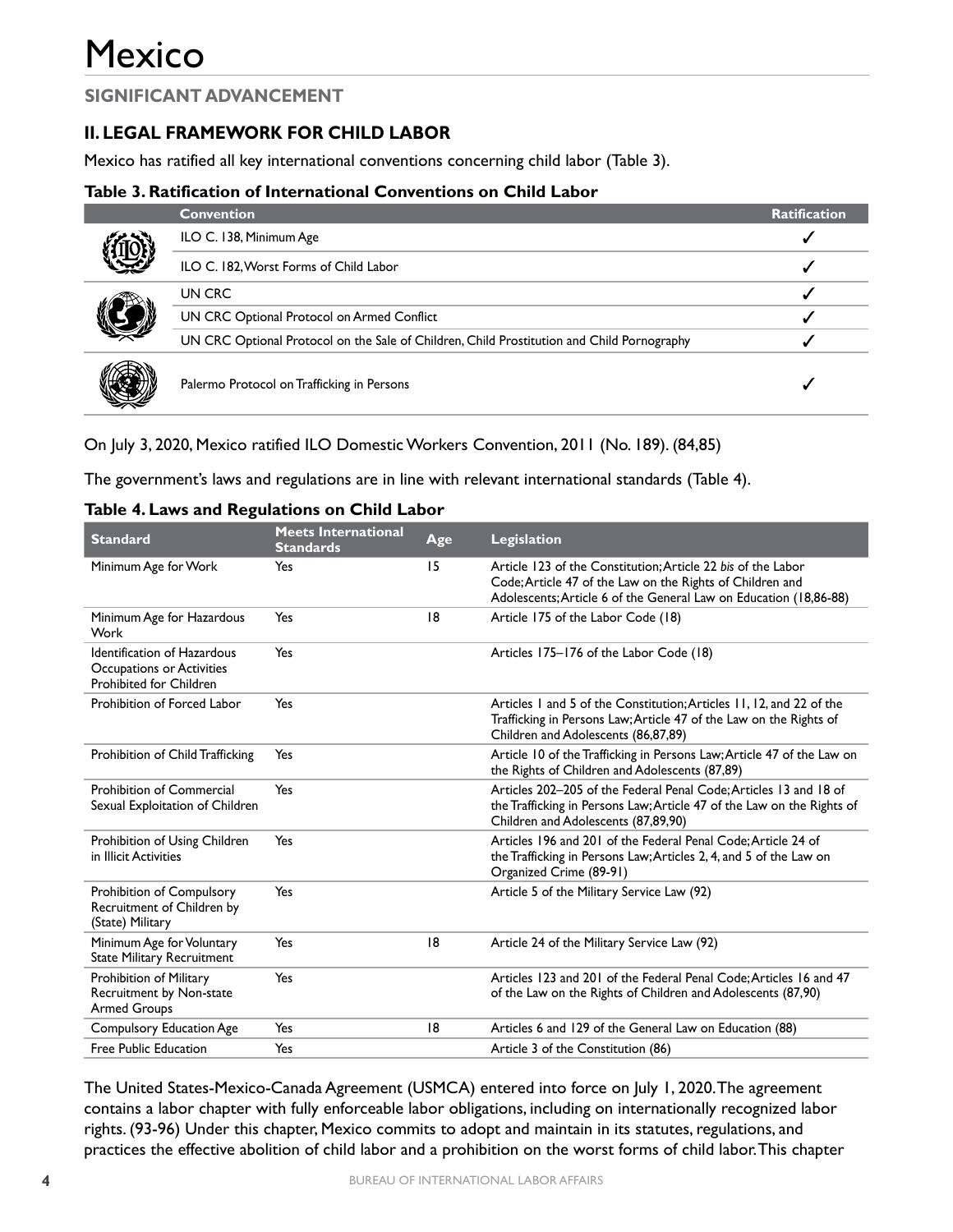## **II. LEGAL FRAMEWORK FOR CHILD LABOR**

Mexico has ratified all key international conventions concerning child labor (Table 3).

#### **Table 3. Ratification of International Conventions on Child Labor**

|  | <b>Convention</b>                                                                          | <b>Ratification</b> |
|--|--------------------------------------------------------------------------------------------|---------------------|
|  | ILO C. 138, Minimum Age                                                                    |                     |
|  | ILO C. 182, Worst Forms of Child Labor                                                     |                     |
|  | UN CRC                                                                                     |                     |
|  | UN CRC Optional Protocol on Armed Conflict                                                 |                     |
|  | UN CRC Optional Protocol on the Sale of Children, Child Prostitution and Child Pornography |                     |
|  | Palermo Protocol on Trafficking in Persons                                                 |                     |

On July 3, 2020, Mexico ratified ILO Domestic Workers Convention, 2011 (No. 189). (84,85)

The government's laws and regulations are in line with relevant international standards (Table 4).

| Table 4. Laws and Regulations on Child Labor |  |  |
|----------------------------------------------|--|--|
|----------------------------------------------|--|--|

| <b>Standard</b>                                                                            | <b>Meets International</b><br><b>Standards</b> | Age | <b>Legislation</b>                                                                                                                                                                             |
|--------------------------------------------------------------------------------------------|------------------------------------------------|-----|------------------------------------------------------------------------------------------------------------------------------------------------------------------------------------------------|
| Minimum Age for Work                                                                       | Yes                                            | 15  | Article 123 of the Constitution: Article 22 bis of the Labor<br>Code; Article 47 of the Law on the Rights of Children and<br>Adolescents; Article 6 of the General Law on Education (18,86-88) |
| Minimum Age for Hazardous<br>Work                                                          | Yes                                            | 18  | Article 175 of the Labor Code (18)                                                                                                                                                             |
| <b>Identification of Hazardous</b><br>Occupations or Activities<br>Prohibited for Children | Yes                                            |     | Articles 175-176 of the Labor Code (18)                                                                                                                                                        |
| Prohibition of Forced Labor                                                                | Yes                                            |     | Articles 1 and 5 of the Constitution; Articles 11, 12, and 22 of the<br>Trafficking in Persons Law; Article 47 of the Law on the Rights of<br>Children and Adolescents (86,87,89)              |
| Prohibition of Child Trafficking                                                           | Yes                                            |     | Article 10 of the Trafficking in Persons Law; Article 47 of the Law on<br>the Rights of Children and Adolescents (87,89)                                                                       |
| <b>Prohibition of Commercial</b><br>Sexual Exploitation of Children                        | Yes                                            |     | Articles 202–205 of the Federal Penal Code: Articles 13 and 18 of<br>the Trafficking in Persons Law; Article 47 of the Law on the Rights of<br>Children and Adolescents (87,89,90)             |
| Prohibition of Using Children<br>in Illicit Activities                                     | Yes                                            |     | Articles 196 and 201 of the Federal Penal Code: Article 24 of<br>the Trafficking in Persons Law; Articles 2, 4, and 5 of the Law on<br>Organized Crime (89-91)                                 |
| Prohibition of Compulsory<br>Recruitment of Children by<br>(State) Military                | Yes                                            |     | Article 5 of the Military Service Law (92)                                                                                                                                                     |
| Minimum Age for Voluntary<br><b>State Military Recruitment</b>                             | Yes                                            | 18  | Article 24 of the Military Service Law (92)                                                                                                                                                    |
| Prohibition of Military<br>Recruitment by Non-state<br><b>Armed Groups</b>                 | Yes                                            |     | Articles 123 and 201 of the Federal Penal Code: Articles 16 and 47<br>of the Law on the Rights of Children and Adolescents (87,90)                                                             |
| <b>Compulsory Education Age</b>                                                            | Yes                                            | 18  | Articles 6 and 129 of the General Law on Education (88)                                                                                                                                        |
| Free Public Education                                                                      | Yes                                            |     | Article 3 of the Constitution (86)                                                                                                                                                             |

The United States-Mexico-Canada Agreement (USMCA) entered into force on July 1, 2020. The agreement contains a labor chapter with fully enforceable labor obligations, including on internationally recognized labor rights. (93-96) Under this chapter, Mexico commits to adopt and maintain in its statutes, regulations, and practices the effective abolition of child labor and a prohibition on the worst forms of child labor. This chapter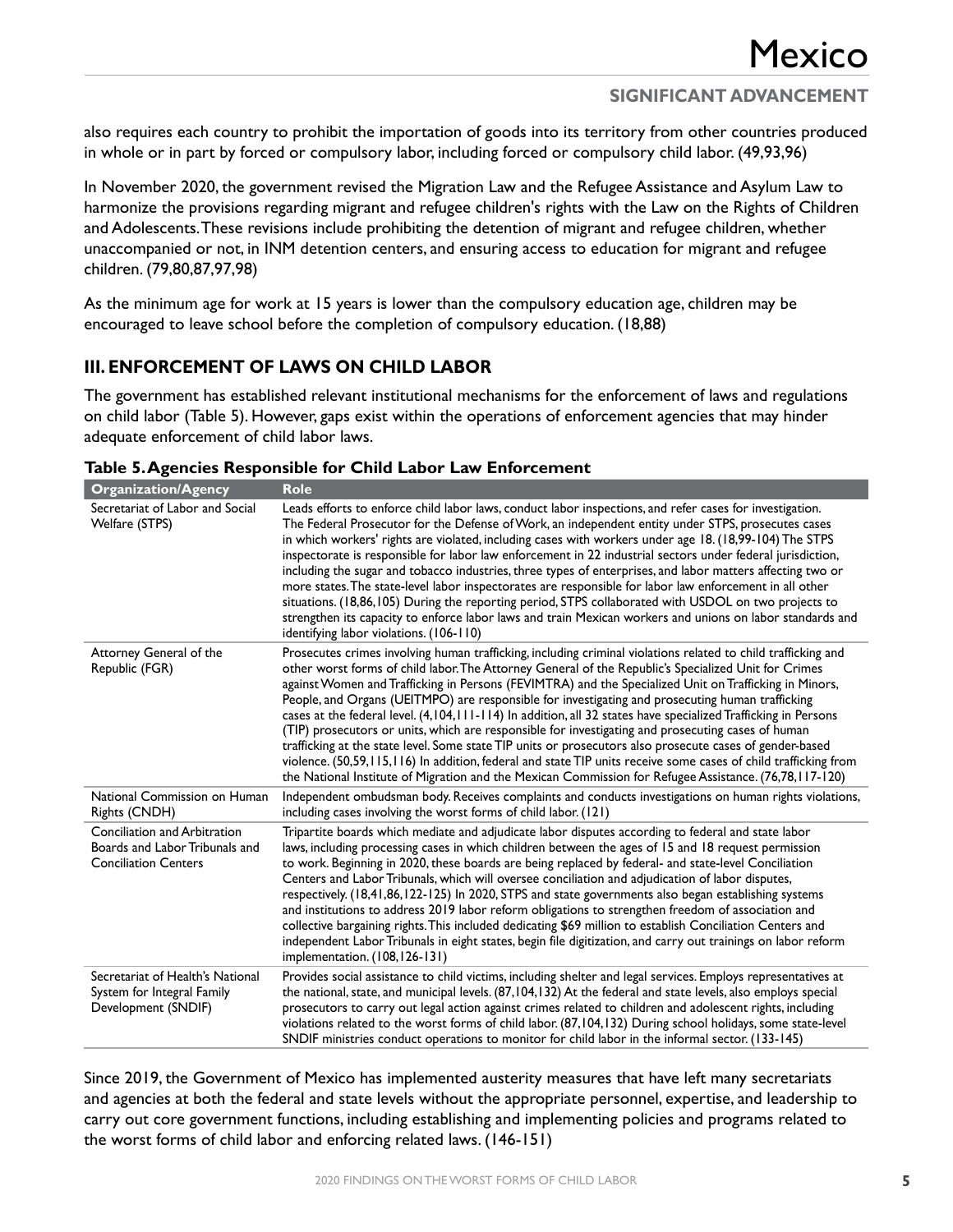also requires each country to prohibit the importation of goods into its territory from other countries produced in whole or in part by forced or compulsory labor, including forced or compulsory child labor. (49,93,96)

In November 2020, the government revised the Migration Law and the Refugee Assistance and Asylum Law to harmonize the provisions regarding migrant and refugee children's rights with the Law on the Rights of Children and Adolescents. These revisions include prohibiting the detention of migrant and refugee children, whether unaccompanied or not, in INM detention centers, and ensuring access to education for migrant and refugee children. (79,80,87,97,98)

As the minimum age for work at 15 years is lower than the compulsory education age, children may be encouraged to leave school before the completion of compulsory education. (18,88)

#### **III. ENFORCEMENT OF LAWS ON CHILD LABOR**

The government has established relevant institutional mechanisms for the enforcement of laws and regulations on child labor (Table 5). However, gaps exist within the operations of enforcement agencies that may hinder adequate enforcement of child labor laws.

| <b>Organization/Agency</b>                                                                    | <b>Role</b>                                                                                                                                                                                                                                                                                                                                                                                                                                                                                                                                                                                                                                                                                                                                                                                                                                                                                                                                                                                          |
|-----------------------------------------------------------------------------------------------|------------------------------------------------------------------------------------------------------------------------------------------------------------------------------------------------------------------------------------------------------------------------------------------------------------------------------------------------------------------------------------------------------------------------------------------------------------------------------------------------------------------------------------------------------------------------------------------------------------------------------------------------------------------------------------------------------------------------------------------------------------------------------------------------------------------------------------------------------------------------------------------------------------------------------------------------------------------------------------------------------|
| Secretariat of Labor and Social<br>Welfare (STPS)                                             | Leads efforts to enforce child labor laws, conduct labor inspections, and refer cases for investigation.<br>The Federal Prosecutor for the Defense of Work, an independent entity under STPS, prosecutes cases<br>in which workers' rights are violated, including cases with workers under age 18. (18,99-104) The STPS<br>inspectorate is responsible for labor law enforcement in 22 industrial sectors under federal jurisdiction,<br>including the sugar and tobacco industries, three types of enterprises, and labor matters affecting two or<br>more states. The state-level labor inspectorates are responsible for labor law enforcement in all other<br>situations. (18,86,105) During the reporting period, STPS collaborated with USDOL on two projects to<br>strengthen its capacity to enforce labor laws and train Mexican workers and unions on labor standards and<br>identifying labor violations. (106-110)                                                                      |
| Attorney General of the<br>Republic (FGR)                                                     | Prosecutes crimes involving human trafficking, including criminal violations related to child trafficking and<br>other worst forms of child labor. The Attorney General of the Republic's Specialized Unit for Crimes<br>against Women and Trafficking in Persons (FEVIMTRA) and the Specialized Unit on Trafficking in Minors,<br>People, and Organs (UEITMPO) are responsible for investigating and prosecuting human trafficking<br>cases at the federal level. (4,104,111-114) In addition, all 32 states have specialized Trafficking in Persons<br>(TIP) prosecutors or units, which are responsible for investigating and prosecuting cases of human<br>trafficking at the state level. Some state TIP units or prosecutors also prosecute cases of gender-based<br>violence. (50,59,115,116) In addition, federal and state TIP units receive some cases of child trafficking from<br>the National Institute of Migration and the Mexican Commission for Refugee Assistance. (76,78,117-120) |
| National Commission on Human<br>Rights (CNDH)                                                 | Independent ombudsman body. Receives complaints and conducts investigations on human rights violations,<br>including cases involving the worst forms of child labor. (121)                                                                                                                                                                                                                                                                                                                                                                                                                                                                                                                                                                                                                                                                                                                                                                                                                           |
| Conciliation and Arbitration<br>Boards and Labor Tribunals and<br><b>Conciliation Centers</b> | Tripartite boards which mediate and adjudicate labor disputes according to federal and state labor<br>laws, including processing cases in which children between the ages of 15 and 18 request permission<br>to work. Beginning in 2020, these boards are being replaced by federal- and state-level Conciliation<br>Centers and Labor Tribunals, which will oversee conciliation and adjudication of labor disputes,<br>respectively. (18,41,86,122-125) In 2020, STPS and state governments also began establishing systems<br>and institutions to address 2019 labor reform obligations to strengthen freedom of association and<br>collective bargaining rights. This included dedicating \$69 million to establish Conciliation Centers and<br>independent Labor Tribunals in eight states, begin file digitization, and carry out trainings on labor reform<br>implementation. (108,126-131)                                                                                                   |
| Secretariat of Health's National<br>System for Integral Family<br>Development (SNDIF)         | Provides social assistance to child victims, including shelter and legal services. Employs representatives at<br>the national, state, and municipal levels. (87,104,132) At the federal and state levels, also employs special<br>prosecutors to carry out legal action against crimes related to children and adolescent rights, including<br>violations related to the worst forms of child labor. (87,104,132) During school holidays, some state-level<br>SNDIF ministries conduct operations to monitor for child labor in the informal sector. (133-145)                                                                                                                                                                                                                                                                                                                                                                                                                                       |

Since 2019, the Government of Mexico has implemented austerity measures that have left many secretariats and agencies at both the federal and state levels without the appropriate personnel, expertise, and leadership to carry out core government functions, including establishing and implementing policies and programs related to the worst forms of child labor and enforcing related laws. (146-151)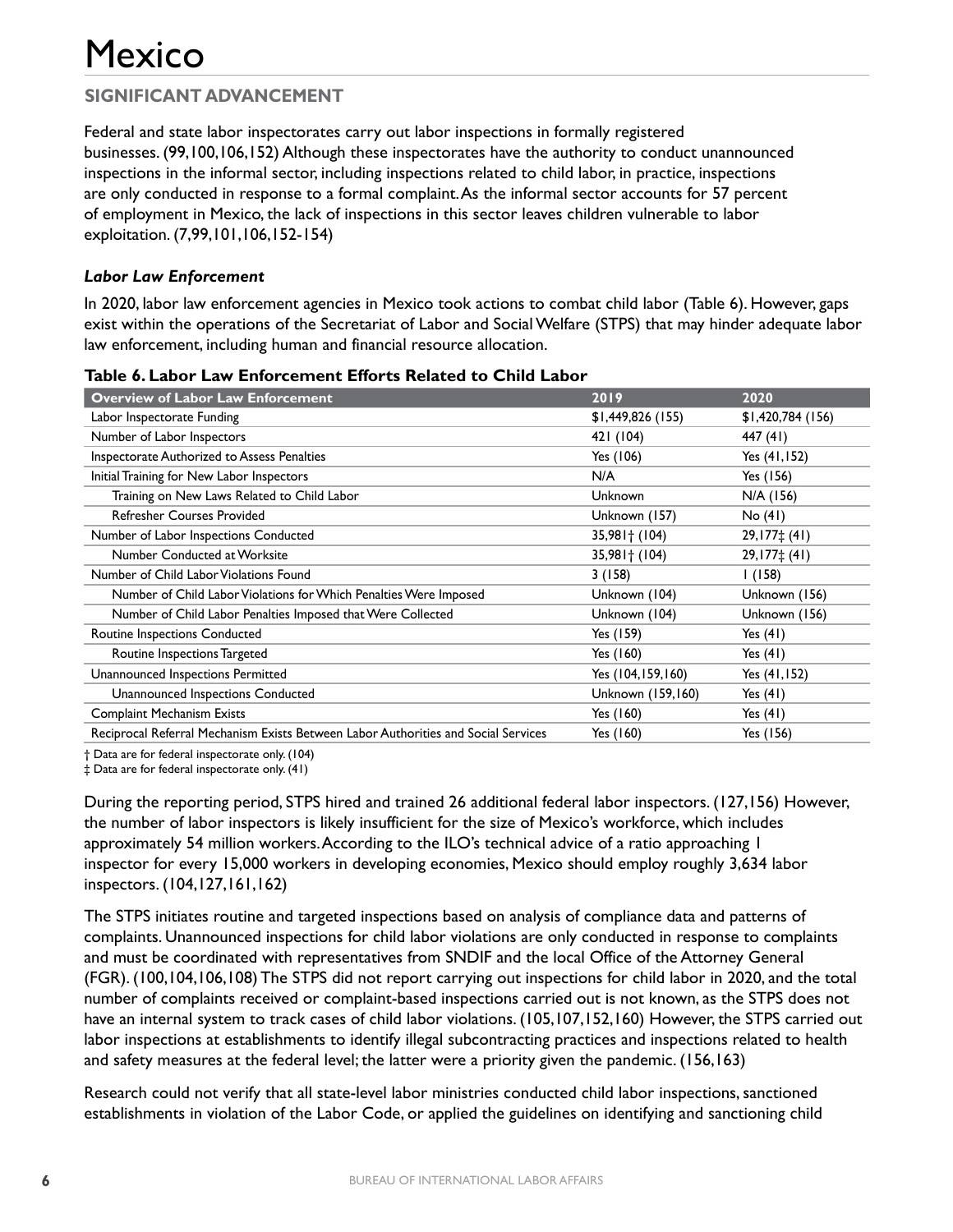Federal and state labor inspectorates carry out labor inspections in formally registered businesses. (99,100,106,152) Although these inspectorates have the authority to conduct unannounced inspections in the informal sector, including inspections related to child labor, in practice, inspections are only conducted in response to a formal complaint. As the informal sector accounts for 57 percent of employment in Mexico, the lack of inspections in this sector leaves children vulnerable to labor exploitation. (7,99,101,106,152-154)

#### *Labor Law Enforcement*

In 2020, labor law enforcement agencies in Mexico took actions to combat child labor (Table 6). However, gaps exist within the operations of the Secretariat of Labor and Social Welfare (STPS) that may hinder adequate labor law enforcement, including human and financial resource allocation.

| <b>Overview of Labor Law Enforcement</b>                                           | 2019               | 2020              |
|------------------------------------------------------------------------------------|--------------------|-------------------|
| Labor Inspectorate Funding                                                         | \$1,449,826(155)   | \$1,420,784 (156) |
| Number of Labor Inspectors                                                         | 421 (104)          | 447 (41)          |
| Inspectorate Authorized to Assess Penalties                                        | Yes (106)          | Yes (41,152)      |
| Initial Training for New Labor Inspectors                                          | N/A                | Yes (156)         |
| Training on New Laws Related to Child Labor                                        | Unknown            | N/A (156)         |
| <b>Refresher Courses Provided</b>                                                  | Unknown (157)      | No (41)           |
| Number of Labor Inspections Conducted                                              | $35,981 \pm (104)$ | $29,177\pm(41)$   |
| Number Conducted at Worksite                                                       | $35,981$ (104)     | $29,177\pm(41)$   |
| Number of Child Labor Violations Found                                             | 3(158)             | 1(158)            |
| Number of Child Labor Violations for Which Penalties Were Imposed                  | Unknown (104)      | Unknown (156)     |
| Number of Child Labor Penalties Imposed that Were Collected                        | Unknown (104)      | Unknown (156)     |
| Routine Inspections Conducted                                                      | Yes (159)          | Yes $(41)$        |
| Routine Inspections Targeted                                                       | Yes (160)          | Yes $(41)$        |
| Unannounced Inspections Permitted                                                  | Yes (104,159,160)  | Yes (41,152)      |
| Unannounced Inspections Conducted                                                  | Unknown (159,160)  | Yes $(41)$        |
| <b>Complaint Mechanism Exists</b>                                                  | Yes (160)          | Yes $(41)$        |
| Reciprocal Referral Mechanism Exists Between Labor Authorities and Social Services | Yes (160)          | Yes (156)         |

#### **Table 6. Labor Law Enforcement Efforts Related to Child Labor**

† Data are for federal inspectorate only. (104)

‡ Data are for federal inspectorate only. (41)

During the reporting period, STPS hired and trained 26 additional federal labor inspectors. (127,156) However, the number of labor inspectors is likely insufficient for the size of Mexico's workforce, which includes approximately 54 million workers. According to the ILO's technical advice of a ratio approaching 1 inspector for every 15,000 workers in developing economies, Mexico should employ roughly 3,634 labor inspectors. (104,127,161,162)

The STPS initiates routine and targeted inspections based on analysis of compliance data and patterns of complaints. Unannounced inspections for child labor violations are only conducted in response to complaints and must be coordinated with representatives from SNDIF and the local Office of the Attorney General (FGR). (100,104,106,108) The STPS did not report carrying out inspections for child labor in 2020, and the total number of complaints received or complaint-based inspections carried out is not known, as the STPS does not have an internal system to track cases of child labor violations. (105,107,152,160) However, the STPS carried out labor inspections at establishments to identify illegal subcontracting practices and inspections related to health and safety measures at the federal level; the latter were a priority given the pandemic. (156,163)

Research could not verify that all state-level labor ministries conducted child labor inspections, sanctioned establishments in violation of the Labor Code, or applied the guidelines on identifying and sanctioning child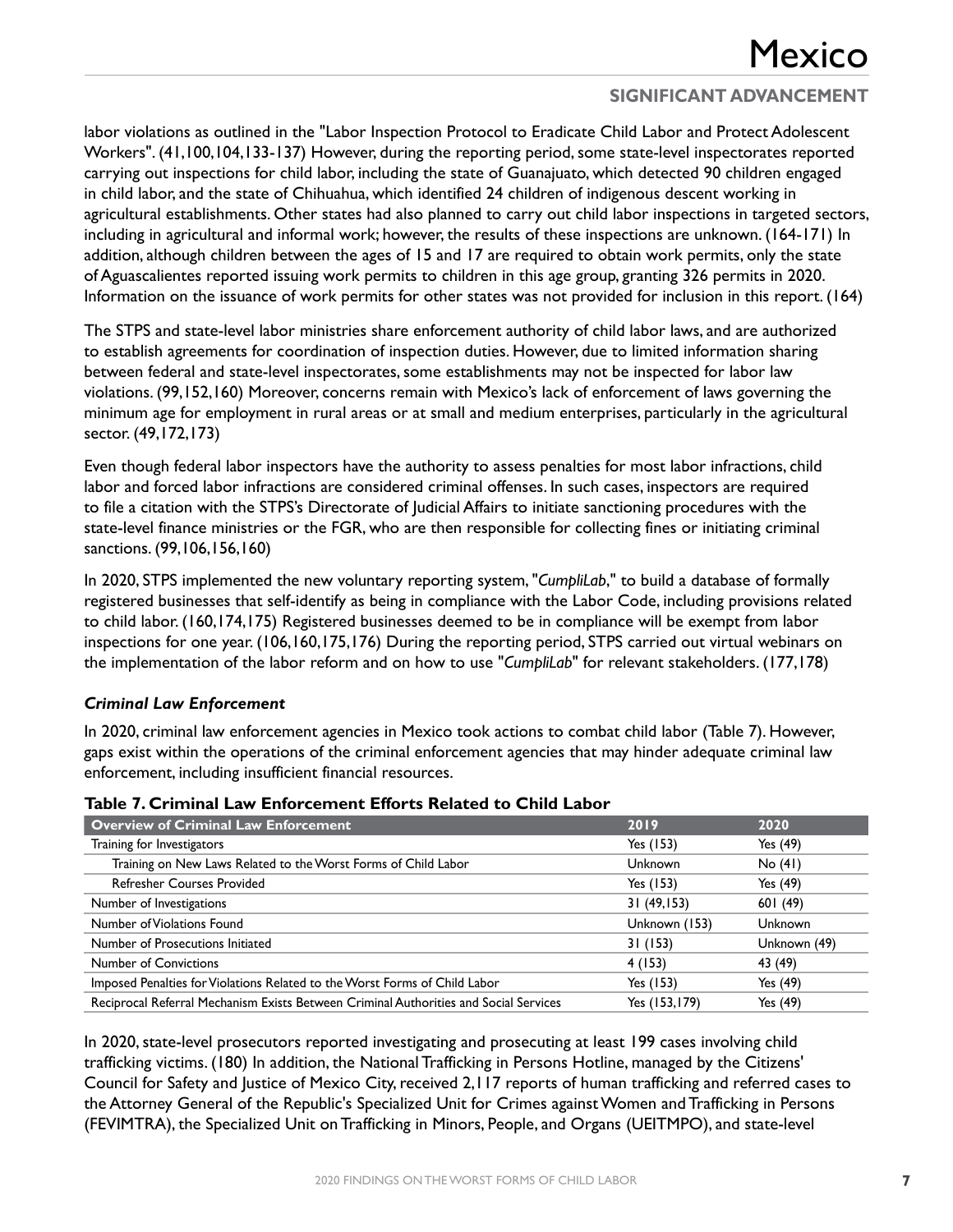labor violations as outlined in the "Labor Inspection Protocol to Eradicate Child Labor and Protect Adolescent Workers". (41,100,104,133-137) However, during the reporting period, some state-level inspectorates reported carrying out inspections for child labor, including the state of Guanajuato, which detected 90 children engaged in child labor, and the state of Chihuahua, which identified 24 children of indigenous descent working in agricultural establishments. Other states had also planned to carry out child labor inspections in targeted sectors, including in agricultural and informal work; however, the results of these inspections are unknown. (164-171) In addition, although children between the ages of 15 and 17 are required to obtain work permits, only the state of Aguascalientes reported issuing work permits to children in this age group, granting 326 permits in 2020. Information on the issuance of work permits for other states was not provided for inclusion in this report. (164)

The STPS and state-level labor ministries share enforcement authority of child labor laws, and are authorized to establish agreements for coordination of inspection duties. However, due to limited information sharing between federal and state-level inspectorates, some establishments may not be inspected for labor law violations. (99,152,160) Moreover, concerns remain with Mexico's lack of enforcement of laws governing the minimum age for employment in rural areas or at small and medium enterprises, particularly in the agricultural sector. (49,172,173)

Even though federal labor inspectors have the authority to assess penalties for most labor infractions, child labor and forced labor infractions are considered criminal offenses. In such cases, inspectors are required to file a citation with the STPS's Directorate of Judicial Affairs to initiate sanctioning procedures with the state-level finance ministries or the FGR, who are then responsible for collecting fines or initiating criminal sanctions. (99,106,156,160)

In 2020, STPS implemented the new voluntary reporting system, "*CumpliLab*," to build a database of formally registered businesses that self-identify as being in compliance with the Labor Code, including provisions related to child labor. (160,174,175) Registered businesses deemed to be in compliance will be exempt from labor inspections for one year. (106,160,175,176) During the reporting period, STPS carried out virtual webinars on the implementation of the labor reform and on how to use "*CumpliLab*" for relevant stakeholders. (177,178)

#### *Criminal Law Enforcement*

In 2020, criminal law enforcement agencies in Mexico took actions to combat child labor (Table 7). However, gaps exist within the operations of the criminal enforcement agencies that may hinder adequate criminal law enforcement, including insufficient financial resources.

| <b>Overview of Criminal Law Enforcement</b>                                           | 2019           | 2020           |
|---------------------------------------------------------------------------------------|----------------|----------------|
| Training for Investigators                                                            | Yes (153)      | Yes (49)       |
| Training on New Laws Related to the Worst Forms of Child Labor                        | <b>Unknown</b> | No(41)         |
| <b>Refresher Courses Provided</b>                                                     | Yes (153)      | Yes (49)       |
| Number of Investigations                                                              | 31(49,153)     | 601(49)        |
| Number of Violations Found                                                            | Unknown (153)  | <b>Unknown</b> |
| Number of Prosecutions Initiated                                                      | 31 (153)       | Unknown (49)   |
| Number of Convictions                                                                 | 4 (153)        | 43 (49)        |
| Imposed Penalties for Violations Related to the Worst Forms of Child Labor            | Yes (153)      | Yes (49)       |
| Reciprocal Referral Mechanism Exists Between Criminal Authorities and Social Services | Yes (153,179)  | Yes (49)       |

#### **Table 7. Criminal Law Enforcement Efforts Related to Child Labor**

In 2020, state-level prosecutors reported investigating and prosecuting at least 199 cases involving child trafficking victims. (180) In addition, the National Trafficking in Persons Hotline, managed by the Citizens' Council for Safety and Justice of Mexico City, received 2,117 reports of human trafficking and referred cases to the Attorney General of the Republic's Specialized Unit for Crimes against Women and Trafficking in Persons (FEVIMTRA), the Specialized Unit on Trafficking in Minors, People, and Organs (UEITMPO), and state-level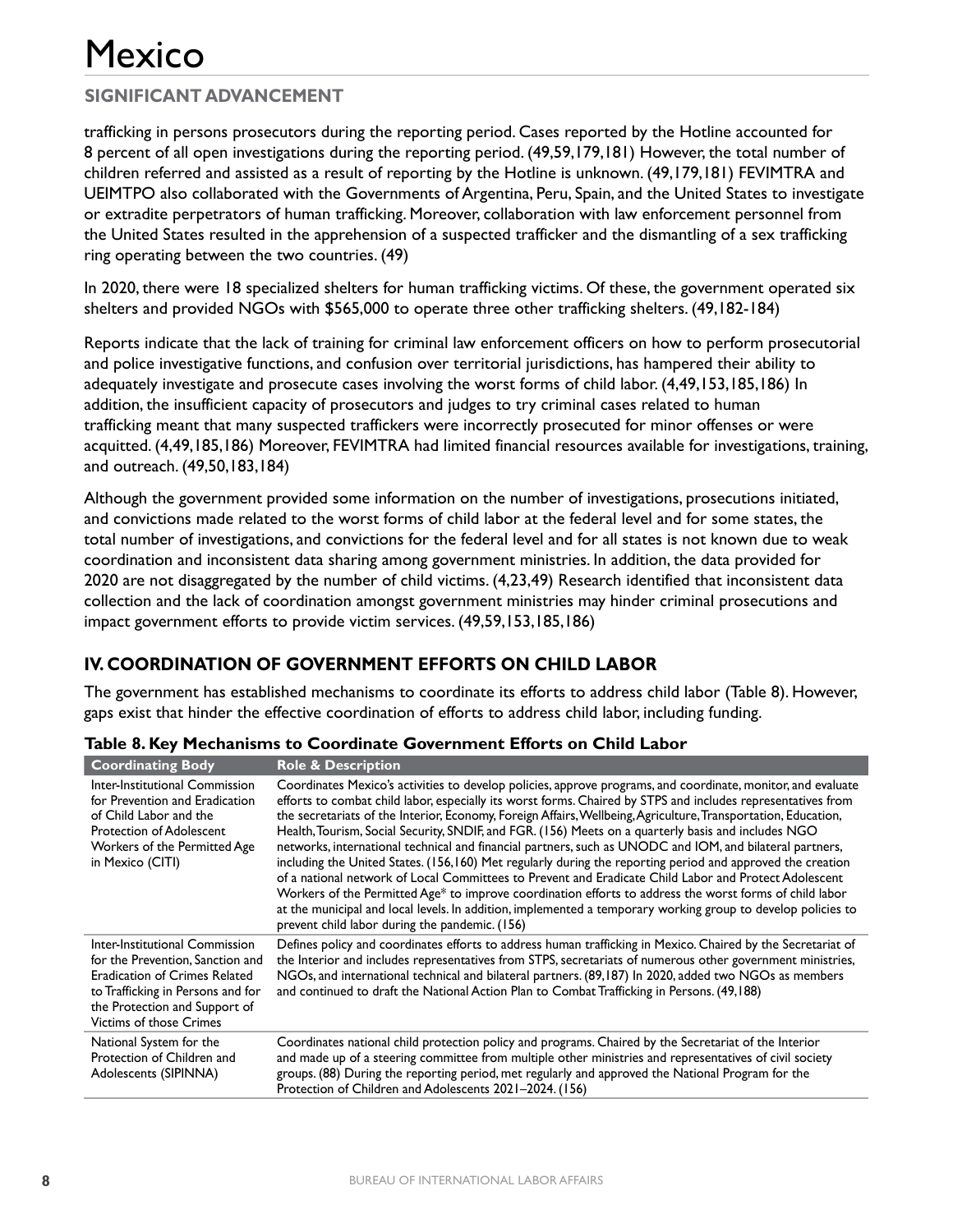## **SIGNIFICANT ADVANCEMENT**

trafficking in persons prosecutors during the reporting period. Cases reported by the Hotline accounted for 8 percent of all open investigations during the reporting period. (49,59,179,181) However, the total number of children referred and assisted as a result of reporting by the Hotline is unknown. (49,179,181) FEVIMTRA and UEIMTPO also collaborated with the Governments of Argentina, Peru, Spain, and the United States to investigate or extradite perpetrators of human trafficking. Moreover, collaboration with law enforcement personnel from the United States resulted in the apprehension of a suspected trafficker and the dismantling of a sex trafficking ring operating between the two countries. (49)

In 2020, there were 18 specialized shelters for human trafficking victims. Of these, the government operated six shelters and provided NGOs with \$565,000 to operate three other trafficking shelters. (49,182-184)

Reports indicate that the lack of training for criminal law enforcement officers on how to perform prosecutorial and police investigative functions, and confusion over territorial jurisdictions, has hampered their ability to adequately investigate and prosecute cases involving the worst forms of child labor. (4,49,153,185,186) In addition, the insufficient capacity of prosecutors and judges to try criminal cases related to human trafficking meant that many suspected traffickers were incorrectly prosecuted for minor offenses or were acquitted. (4,49,185,186) Moreover, FEVIMTRA had limited financial resources available for investigations, training, and outreach. (49,50,183,184)

Although the government provided some information on the number of investigations, prosecutions initiated, and convictions made related to the worst forms of child labor at the federal level and for some states, the total number of investigations, and convictions for the federal level and for all states is not known due to weak coordination and inconsistent data sharing among government ministries. In addition, the data provided for 2020 are not disaggregated by the number of child victims. (4,23,49) Research identified that inconsistent data collection and the lack of coordination amongst government ministries may hinder criminal prosecutions and impact government efforts to provide victim services. (49,59,153,185,186)

### **IV. COORDINATION OF GOVERNMENT EFFORTS ON CHILD LABOR**

The government has established mechanisms to coordinate its efforts to address child labor (Table 8). However, gaps exist that hinder the effective coordination of efforts to address child labor, including funding.

| <b>Coordinating Body</b>                                                                                                                                                                                    | <b>Role &amp; Description</b>                                                                                                                                                                                                                                                                                                                                                                                                                                                                                                                                                                                                                                                                                                                                                                                                                                                                                                                                                                                                                                         |
|-------------------------------------------------------------------------------------------------------------------------------------------------------------------------------------------------------------|-----------------------------------------------------------------------------------------------------------------------------------------------------------------------------------------------------------------------------------------------------------------------------------------------------------------------------------------------------------------------------------------------------------------------------------------------------------------------------------------------------------------------------------------------------------------------------------------------------------------------------------------------------------------------------------------------------------------------------------------------------------------------------------------------------------------------------------------------------------------------------------------------------------------------------------------------------------------------------------------------------------------------------------------------------------------------|
| Inter-Institutional Commission<br>for Prevention and Eradication<br>of Child Labor and the<br><b>Protection of Adolescent</b><br>Workers of the Permitted Age<br>in Mexico (CITI)                           | Coordinates Mexico's activities to develop policies, approve programs, and coordinate, monitor, and evaluate<br>efforts to combat child labor, especially its worst forms. Chaired by STPS and includes representatives from<br>the secretariats of the Interior, Economy, Foreign Affairs, Wellbeing, Agriculture, Transportation, Education,<br>Health, Tourism, Social Security, SNDIF, and FGR. (156) Meets on a quarterly basis and includes NGO<br>networks, international technical and financial partners, such as UNODC and IOM, and bilateral partners,<br>including the United States. (156,160) Met regularly during the reporting period and approved the creation<br>of a national network of Local Committees to Prevent and Eradicate Child Labor and Protect Adolescent<br>Workers of the Permitted Age* to improve coordination efforts to address the worst forms of child labor<br>at the municipal and local levels. In addition, implemented a temporary working group to develop policies to<br>prevent child labor during the pandemic. (156) |
| Inter-Institutional Commission<br>for the Prevention, Sanction and<br>Eradication of Crimes Related<br>to Trafficking in Persons and for<br>the Protection and Support of<br><b>Victims of those Crimes</b> | Defines policy and coordinates efforts to address human trafficking in Mexico. Chaired by the Secretariat of<br>the Interior and includes representatives from STPS, secretariats of numerous other government ministries,<br>NGOs, and international technical and bilateral partners. (89,187) In 2020, added two NGOs as members<br>and continued to draft the National Action Plan to Combat Trafficking in Persons. (49,188)                                                                                                                                                                                                                                                                                                                                                                                                                                                                                                                                                                                                                                     |
| National System for the<br>Protection of Children and<br>Adolescents (SIPINNA)                                                                                                                              | Coordinates national child protection policy and programs. Chaired by the Secretariat of the Interior<br>and made up of a steering committee from multiple other ministries and representatives of civil society<br>groups. (88) During the reporting period, met regularly and approved the National Program for the<br>Protection of Children and Adolescents 2021-2024. (156)                                                                                                                                                                                                                                                                                                                                                                                                                                                                                                                                                                                                                                                                                      |

|  |  |  | Table 8. Key Mechanisms to Coordinate Government Efforts on Child Labor |  |
|--|--|--|-------------------------------------------------------------------------|--|
|--|--|--|-------------------------------------------------------------------------|--|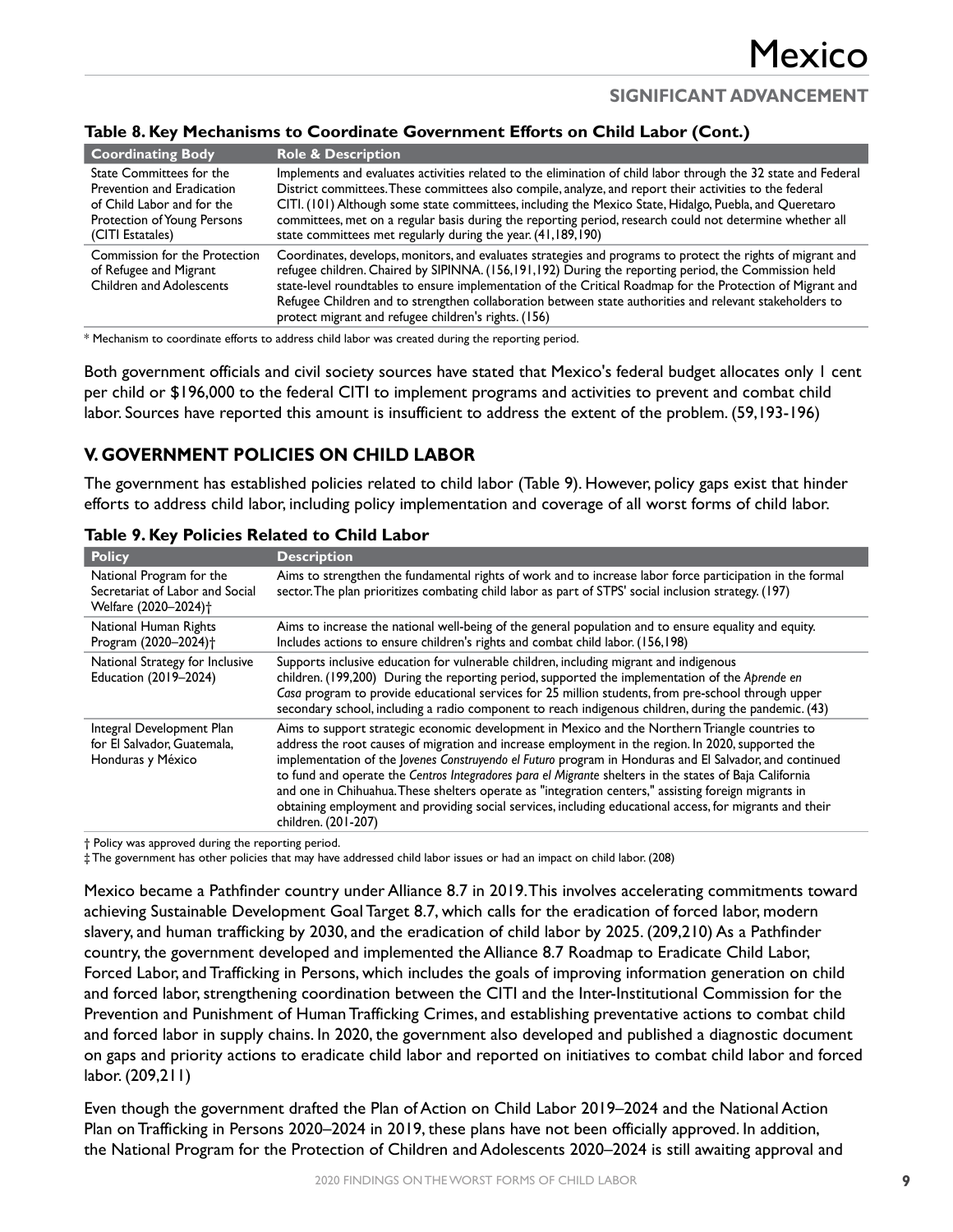#### **Table 8. Key Mechanisms to Coordinate Government Efforts on Child Labor (Cont.)**

| <b>Coordinating Body</b>                                                                                                                | <b>Role &amp; Description</b>                                                                                                                                                                                                                                                                                                                                                                                                                                                                                   |
|-----------------------------------------------------------------------------------------------------------------------------------------|-----------------------------------------------------------------------------------------------------------------------------------------------------------------------------------------------------------------------------------------------------------------------------------------------------------------------------------------------------------------------------------------------------------------------------------------------------------------------------------------------------------------|
| State Committees for the<br>Prevention and Eradication<br>of Child Labor and for the<br>Protection of Young Persons<br>(CITI Estatales) | Implements and evaluates activities related to the elimination of child labor through the 32 state and Federal<br>District committees. These committees also compile, analyze, and report their activities to the federal<br>CITI. (101) Although some state committees, including the Mexico State, Hidalgo, Puebla, and Queretaro<br>committees, met on a regular basis during the reporting period, research could not determine whether all<br>state committees met regularly during the year. (41,189,190) |
| Commission for the Protection<br>of Refugee and Migrant<br><b>Children and Adolescents</b>                                              | Coordinates, develops, monitors, and evaluates strategies and programs to protect the rights of migrant and<br>refugee children. Chaired by SIPINNA. (156,191,192) During the reporting period, the Commission held<br>state-level roundtables to ensure implementation of the Critical Roadmap for the Protection of Migrant and<br>Refugee Children and to strengthen collaboration between state authorities and relevant stakeholders to<br>protect migrant and refugee children's rights. (156)            |

\* Mechanism to coordinate efforts to address child labor was created during the reporting period.

Both government officials and civil society sources have stated that Mexico's federal budget allocates only 1 cent per child or \$196,000 to the federal CITI to implement programs and activities to prevent and combat child labor. Sources have reported this amount is insufficient to address the extent of the problem. (59,193-196)

### **V. GOVERNMENT POLICIES ON CHILD LABOR**

The government has established policies related to child labor (Table 9). However, policy gaps exist that hinder efforts to address child labor, including policy implementation and coverage of all worst forms of child labor.

| <b>Policy</b>                                                                                   | <b>Description</b>                                                                                                                                                                                                                                                                                                                                                                                                                                                                                                                                                                                                                                                     |
|-------------------------------------------------------------------------------------------------|------------------------------------------------------------------------------------------------------------------------------------------------------------------------------------------------------------------------------------------------------------------------------------------------------------------------------------------------------------------------------------------------------------------------------------------------------------------------------------------------------------------------------------------------------------------------------------------------------------------------------------------------------------------------|
| National Program for the<br>Secretariat of Labor and Social<br>Welfare (2020-2024) <sup>+</sup> | Aims to strengthen the fundamental rights of work and to increase labor force participation in the formal<br>sector. The plan prioritizes combating child labor as part of STPS' social inclusion strategy. (197)                                                                                                                                                                                                                                                                                                                                                                                                                                                      |
| National Human Rights<br>Program (2020-2024) <sup>+</sup>                                       | Aims to increase the national well-being of the general population and to ensure equality and equity.<br>Includes actions to ensure children's rights and combat child labor. (156,198)                                                                                                                                                                                                                                                                                                                                                                                                                                                                                |
| National Strategy for Inclusive<br>Education (2019-2024)                                        | Supports inclusive education for vulnerable children, including migrant and indigenous<br>children. (199,200) During the reporting period, supported the implementation of the Aprende en<br>Casa program to provide educational services for 25 million students, from pre-school through upper<br>secondary school, including a radio component to reach indigenous children, during the pandemic. (43)                                                                                                                                                                                                                                                              |
| Integral Development Plan<br>for El Salvador, Guatemala,<br>Honduras y México                   | Aims to support strategic economic development in Mexico and the Northern Triangle countries to<br>address the root causes of migration and increase employment in the region. In 2020, supported the<br>implementation of the Jovenes Construyendo el Futuro program in Honduras and El Salvador, and continued<br>to fund and operate the Centros Integradores para el Migrante shelters in the states of Baja California<br>and one in Chihuahua. These shelters operate as "integration centers," assisting foreign migrants in<br>obtaining employment and providing social services, including educational access, for migrants and their<br>children. (201-207) |

**Table 9. Key Policies Related to Child Labor**

† Policy was approved during the reporting period.

‡ The government has other policies that may have addressed child labor issues or had an impact on child labor. (208)

Mexico became a Pathfinder country under Alliance 8.7 in 2019. This involves accelerating commitments toward achieving Sustainable Development Goal Target 8.7, which calls for the eradication of forced labor, modern slavery, and human trafficking by 2030, and the eradication of child labor by 2025. (209,210) As a Pathfinder country, the government developed and implemented the Alliance 8.7 Roadmap to Eradicate Child Labor, Forced Labor, and Trafficking in Persons, which includes the goals of improving information generation on child and forced labor, strengthening coordination between the CITI and the Inter-Institutional Commission for the Prevention and Punishment of Human Trafficking Crimes, and establishing preventative actions to combat child and forced labor in supply chains. In 2020, the government also developed and published a diagnostic document on gaps and priority actions to eradicate child labor and reported on initiatives to combat child labor and forced labor. (209,211)

Even though the government drafted the Plan of Action on Child Labor 2019–2024 and the National Action Plan on Trafficking in Persons 2020–2024 in 2019, these plans have not been officially approved. In addition, the National Program for the Protection of Children and Adolescents 2020–2024 is still awaiting approval and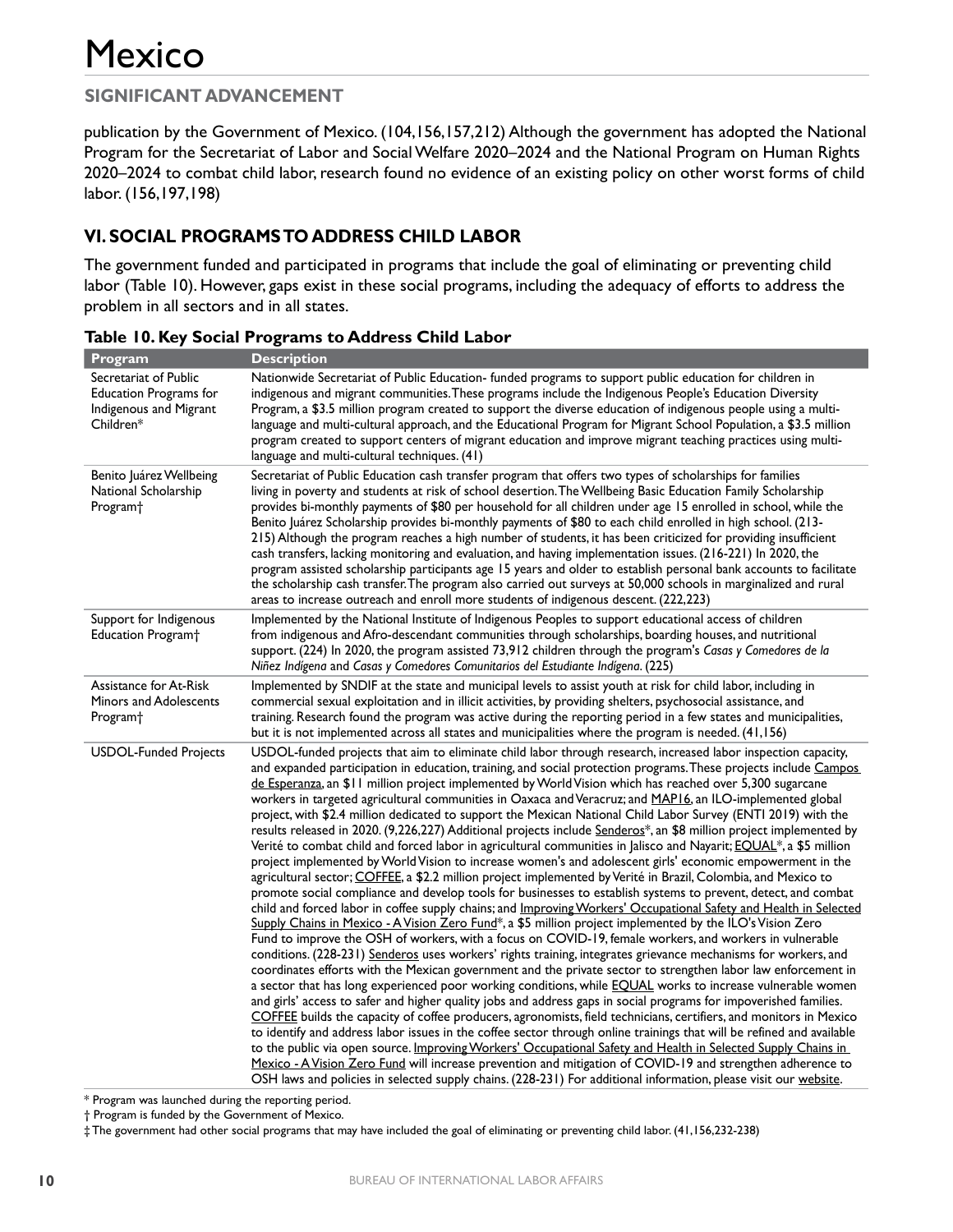### **SIGNIFICANT ADVANCEMENT**

publication by the Government of Mexico. (104,156,157,212) Although the government has adopted the National Program for the Secretariat of Labor and Social Welfare 2020–2024 and the National Program on Human Rights 2020–2024 to combat child labor, research found no evidence of an existing policy on other worst forms of child labor. (156,197,198)

### **VI. SOCIAL PROGRAMS TO ADDRESS CHILD LABOR**

The government funded and participated in programs that include the goal of eliminating or preventing child labor (Table 10). However, gaps exist in these social programs, including the adequacy of efforts to address the problem in all sectors and in all states.

| Program                                                                                       | <b>Description</b>                                                                                                                                                                                                                                                                                                                                                                                                                                                                                                                                                                                                                                                                                                                                                                                                                                                                                                                                                                                                                                                                                                                                                                                                                                                                                                                                                                                                                                                                                                                                                                                                                                                                                                                                                                                                                                                                                                                                                                                                                                                                                                                                                                                                                                                                                                                                                                                                                                                                                                                                                                                                        |
|-----------------------------------------------------------------------------------------------|---------------------------------------------------------------------------------------------------------------------------------------------------------------------------------------------------------------------------------------------------------------------------------------------------------------------------------------------------------------------------------------------------------------------------------------------------------------------------------------------------------------------------------------------------------------------------------------------------------------------------------------------------------------------------------------------------------------------------------------------------------------------------------------------------------------------------------------------------------------------------------------------------------------------------------------------------------------------------------------------------------------------------------------------------------------------------------------------------------------------------------------------------------------------------------------------------------------------------------------------------------------------------------------------------------------------------------------------------------------------------------------------------------------------------------------------------------------------------------------------------------------------------------------------------------------------------------------------------------------------------------------------------------------------------------------------------------------------------------------------------------------------------------------------------------------------------------------------------------------------------------------------------------------------------------------------------------------------------------------------------------------------------------------------------------------------------------------------------------------------------------------------------------------------------------------------------------------------------------------------------------------------------------------------------------------------------------------------------------------------------------------------------------------------------------------------------------------------------------------------------------------------------------------------------------------------------------------------------------------------------|
| Secretariat of Public<br><b>Education Programs for</b><br>Indigenous and Migrant<br>Children* | Nationwide Secretariat of Public Education- funded programs to support public education for children in<br>indigenous and migrant communities. These programs include the Indigenous People's Education Diversity<br>Program, a \$3.5 million program created to support the diverse education of indigenous people using a multi-<br>language and multi-cultural approach, and the Educational Program for Migrant School Population, a \$3.5 million<br>program created to support centers of migrant education and improve migrant teaching practices using multi-<br>language and multi-cultural techniques. (41)                                                                                                                                                                                                                                                                                                                                                                                                                                                                                                                                                                                                                                                                                                                                                                                                                                                                                                                                                                                                                                                                                                                                                                                                                                                                                                                                                                                                                                                                                                                                                                                                                                                                                                                                                                                                                                                                                                                                                                                                     |
| Benito Juárez Wellbeing<br>National Scholarship<br>Program <sup>+</sup>                       | Secretariat of Public Education cash transfer program that offers two types of scholarships for families<br>living in poverty and students at risk of school desertion. The Wellbeing Basic Education Family Scholarship<br>provides bi-monthly payments of \$80 per household for all children under age 15 enrolled in school, while the<br>Benito Juárez Scholarship provides bi-monthly payments of \$80 to each child enrolled in high school. (213-<br>215) Although the program reaches a high number of students, it has been criticized for providing insufficient<br>cash transfers, lacking monitoring and evaluation, and having implementation issues. (216-221) In 2020, the<br>program assisted scholarship participants age 15 years and older to establish personal bank accounts to facilitate<br>the scholarship cash transfer. The program also carried out surveys at 50,000 schools in marginalized and rural<br>areas to increase outreach and enroll more students of indigenous descent. (222,223)                                                                                                                                                                                                                                                                                                                                                                                                                                                                                                                                                                                                                                                                                                                                                                                                                                                                                                                                                                                                                                                                                                                                                                                                                                                                                                                                                                                                                                                                                                                                                                                               |
| Support for Indigenous<br>Education Program <sup>+</sup>                                      | Implemented by the National Institute of Indigenous Peoples to support educational access of children<br>from indigenous and Afro-descendant communities through scholarships, boarding houses, and nutritional<br>support. (224) In 2020, the program assisted 73,912 children through the program's Casas y Comedores de la<br>Niñez Indígena and Casas y Comedores Comunitarios del Estudiante Indígena. (225)                                                                                                                                                                                                                                                                                                                                                                                                                                                                                                                                                                                                                                                                                                                                                                                                                                                                                                                                                                                                                                                                                                                                                                                                                                                                                                                                                                                                                                                                                                                                                                                                                                                                                                                                                                                                                                                                                                                                                                                                                                                                                                                                                                                                         |
| Assistance for At-Risk<br>Minors and Adolescents<br>Program <sup>+</sup>                      | Implemented by SNDIF at the state and municipal levels to assist youth at risk for child labor, including in<br>commercial sexual exploitation and in illicit activities, by providing shelters, psychosocial assistance, and<br>training. Research found the program was active during the reporting period in a few states and municipalities,<br>but it is not implemented across all states and municipalities where the program is needed. (41,156)                                                                                                                                                                                                                                                                                                                                                                                                                                                                                                                                                                                                                                                                                                                                                                                                                                                                                                                                                                                                                                                                                                                                                                                                                                                                                                                                                                                                                                                                                                                                                                                                                                                                                                                                                                                                                                                                                                                                                                                                                                                                                                                                                                  |
| <b>USDOL-Funded Projects</b>                                                                  | USDOL-funded projects that aim to eliminate child labor through research, increased labor inspection capacity,<br>and expanded participation in education, training, and social protection programs. These projects include Campos<br>de Esperanza, an \$11 million project implemented by World Vision which has reached over 5,300 sugarcane<br>workers in targeted agricultural communities in Oaxaca and Veracruz; and MAP16, an ILO-implemented global<br>project, with \$2.4 million dedicated to support the Mexican National Child Labor Survey (ENTI 2019) with the<br>results released in 2020. (9,226,227) Additional projects include Senderos*, an \$8 million project implemented by<br>Verité to combat child and forced labor in agricultural communities in Jalisco and Nayarit; <b>EQUAL</b> *, a \$5 million<br>project implemented by World Vision to increase women's and adolescent girls' economic empowerment in the<br>agricultural sector; COFFEE, a \$2.2 million project implemented by Verité in Brazil, Colombia, and Mexico to<br>promote social compliance and develop tools for businesses to establish systems to prevent, detect, and combat<br>child and forced labor in coffee supply chains; and Improving Workers' Occupational Safety and Health in Selected<br>Supply Chains in Mexico - A Vision Zero Fund <sup>*</sup> , a \$5 million project implemented by the ILO's Vision Zero<br>Fund to improve the OSH of workers, with a focus on COVID-19, female workers, and workers in vulnerable<br>conditions. (228-231) Senderos uses workers' rights training, integrates grievance mechanisms for workers, and<br>coordinates efforts with the Mexican government and the private sector to strengthen labor law enforcement in<br>a sector that has long experienced poor working conditions, while <b>EQUAL</b> works to increase vulnerable women<br>and girls' access to safer and higher quality jobs and address gaps in social programs for impoverished families.<br>COFFEE builds the capacity of coffee producers, agronomists, field technicians, certifiers, and monitors in Mexico<br>to identify and address labor issues in the coffee sector through online trainings that will be refined and available<br>to the public via open source. Improving Workers' Occupational Safety and Health in Selected Supply Chains in<br>Mexico - A Vision Zero Fund will increase prevention and mitigation of COVID-19 and strengthen adherence to<br>OSH laws and policies in selected supply chains. (228-231) For additional information, please visit our website. |

**Table 10. Key Social Programs to Address Child Labor**

\* Program was launched during the reporting period.

† Program is funded by the Government of Mexico.

‡ The government had other social programs that may have included the goal of eliminating or preventing child labor. (41,156,232-238)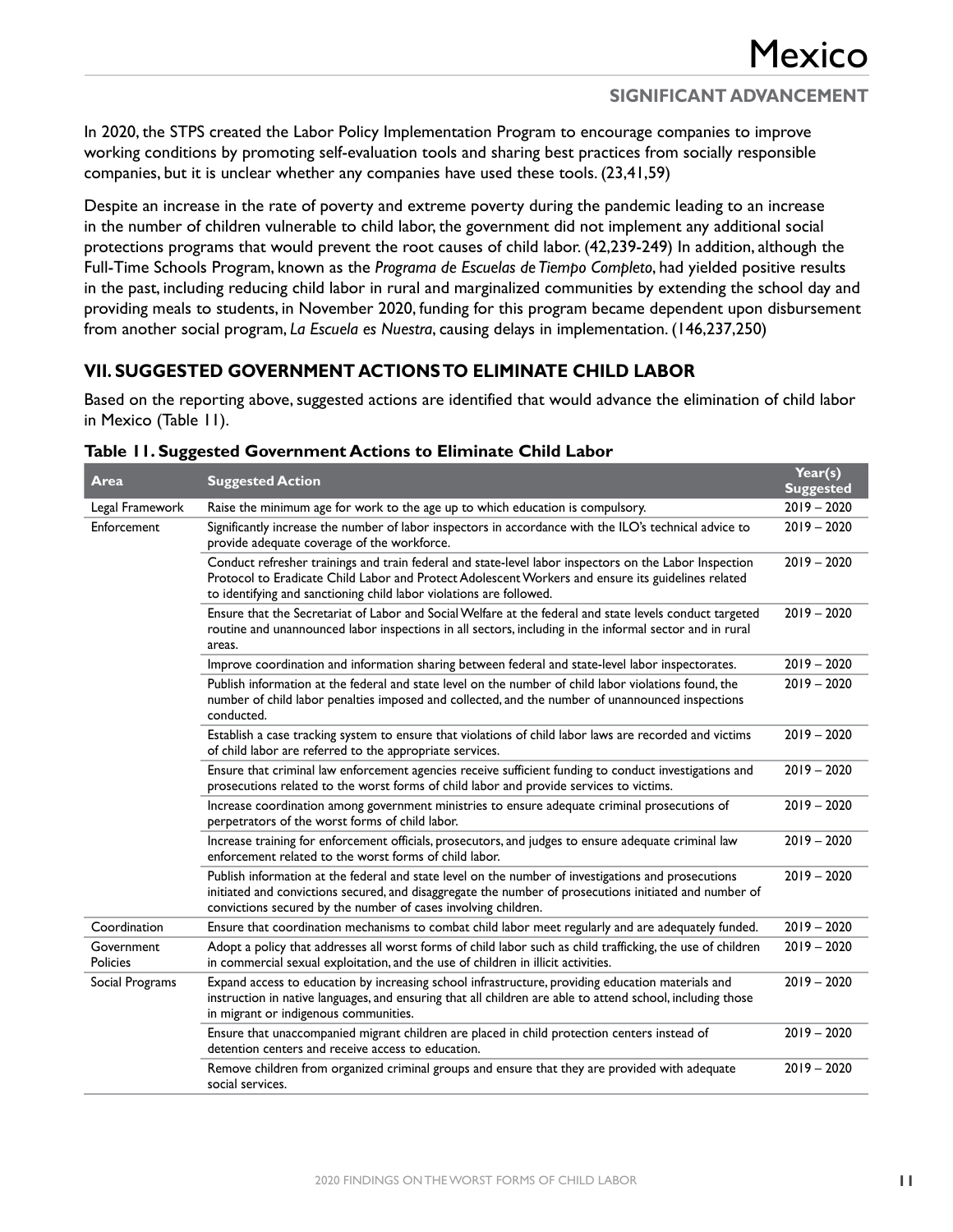#### **SIGNIFICANT ADVANCEMENT**

In 2020, the STPS created the Labor Policy Implementation Program to encourage companies to improve working conditions by promoting self-evaluation tools and sharing best practices from socially responsible companies, but it is unclear whether any companies have used these tools. (23,41,59)

Despite an increase in the rate of poverty and extreme poverty during the pandemic leading to an increase in the number of children vulnerable to child labor, the government did not implement any additional social protections programs that would prevent the root causes of child labor. (42,239-249) In addition, although the Full-Time Schools Program, known as the *Programa de Escuelas de Tiempo Completo*, had yielded positive results in the past, including reducing child labor in rural and marginalized communities by extending the school day and providing meals to students, in November 2020, funding for this program became dependent upon disbursement from another social program, *La Escuela es Nuestra*, causing delays in implementation. (146,237,250)

#### **VII. SUGGESTED GOVERNMENT ACTIONS TO ELIMINATE CHILD LABOR**

Based on the reporting above, suggested actions are identified that would advance the elimination of child labor in Mexico (Table 11).

| <b>Area</b>                   | <b>Suggested Action</b>                                                                                                                                                                                                                                                             | Year(s)<br><b>Suggested</b> |
|-------------------------------|-------------------------------------------------------------------------------------------------------------------------------------------------------------------------------------------------------------------------------------------------------------------------------------|-----------------------------|
| Legal Framework               | Raise the minimum age for work to the age up to which education is compulsory.                                                                                                                                                                                                      | $2019 - 2020$               |
| Enforcement                   | Significantly increase the number of labor inspectors in accordance with the ILO's technical advice to<br>provide adequate coverage of the workforce.                                                                                                                               | $2019 - 2020$               |
|                               | Conduct refresher trainings and train federal and state-level labor inspectors on the Labor Inspection<br>Protocol to Eradicate Child Labor and Protect Adolescent Workers and ensure its guidelines related<br>to identifying and sanctioning child labor violations are followed. | $2019 - 2020$               |
|                               | Ensure that the Secretariat of Labor and Social Welfare at the federal and state levels conduct targeted<br>routine and unannounced labor inspections in all sectors, including in the informal sector and in rural<br>areas.                                                       | $2019 - 2020$               |
|                               | Improve coordination and information sharing between federal and state-level labor inspectorates.                                                                                                                                                                                   | $2019 - 2020$               |
|                               | Publish information at the federal and state level on the number of child labor violations found, the<br>number of child labor penalties imposed and collected, and the number of unannounced inspections<br>conducted.                                                             | $2019 - 2020$               |
|                               | Establish a case tracking system to ensure that violations of child labor laws are recorded and victims<br>of child labor are referred to the appropriate services.                                                                                                                 | $2019 - 2020$               |
|                               | Ensure that criminal law enforcement agencies receive sufficient funding to conduct investigations and<br>prosecutions related to the worst forms of child labor and provide services to victims.                                                                                   | $2019 - 2020$               |
|                               | Increase coordination among government ministries to ensure adequate criminal prosecutions of<br>perpetrators of the worst forms of child labor.                                                                                                                                    | $2019 - 2020$               |
|                               | Increase training for enforcement officials, prosecutors, and judges to ensure adequate criminal law<br>enforcement related to the worst forms of child labor.                                                                                                                      | $2019 - 2020$               |
|                               | Publish information at the federal and state level on the number of investigations and prosecutions<br>initiated and convictions secured, and disaggregate the number of prosecutions initiated and number of<br>convictions secured by the number of cases involving children.     | $2019 - 2020$               |
| Coordination                  | Ensure that coordination mechanisms to combat child labor meet regularly and are adequately funded.                                                                                                                                                                                 | $2019 - 2020$               |
| Government<br><b>Policies</b> | Adopt a policy that addresses all worst forms of child labor such as child trafficking, the use of children<br>in commercial sexual exploitation, and the use of children in illicit activities.                                                                                    | $2019 - 2020$               |
| Social Programs               | Expand access to education by increasing school infrastructure, providing education materials and<br>instruction in native languages, and ensuring that all children are able to attend school, including those<br>in migrant or indigenous communities.                            | $2019 - 2020$               |
|                               | Ensure that unaccompanied migrant children are placed in child protection centers instead of<br>detention centers and receive access to education.                                                                                                                                  | $2019 - 2020$               |
|                               | Remove children from organized criminal groups and ensure that they are provided with adequate<br>social services.                                                                                                                                                                  | $2019 - 2020$               |

#### **Table 11. Suggested Government Actions to Eliminate Child Labor**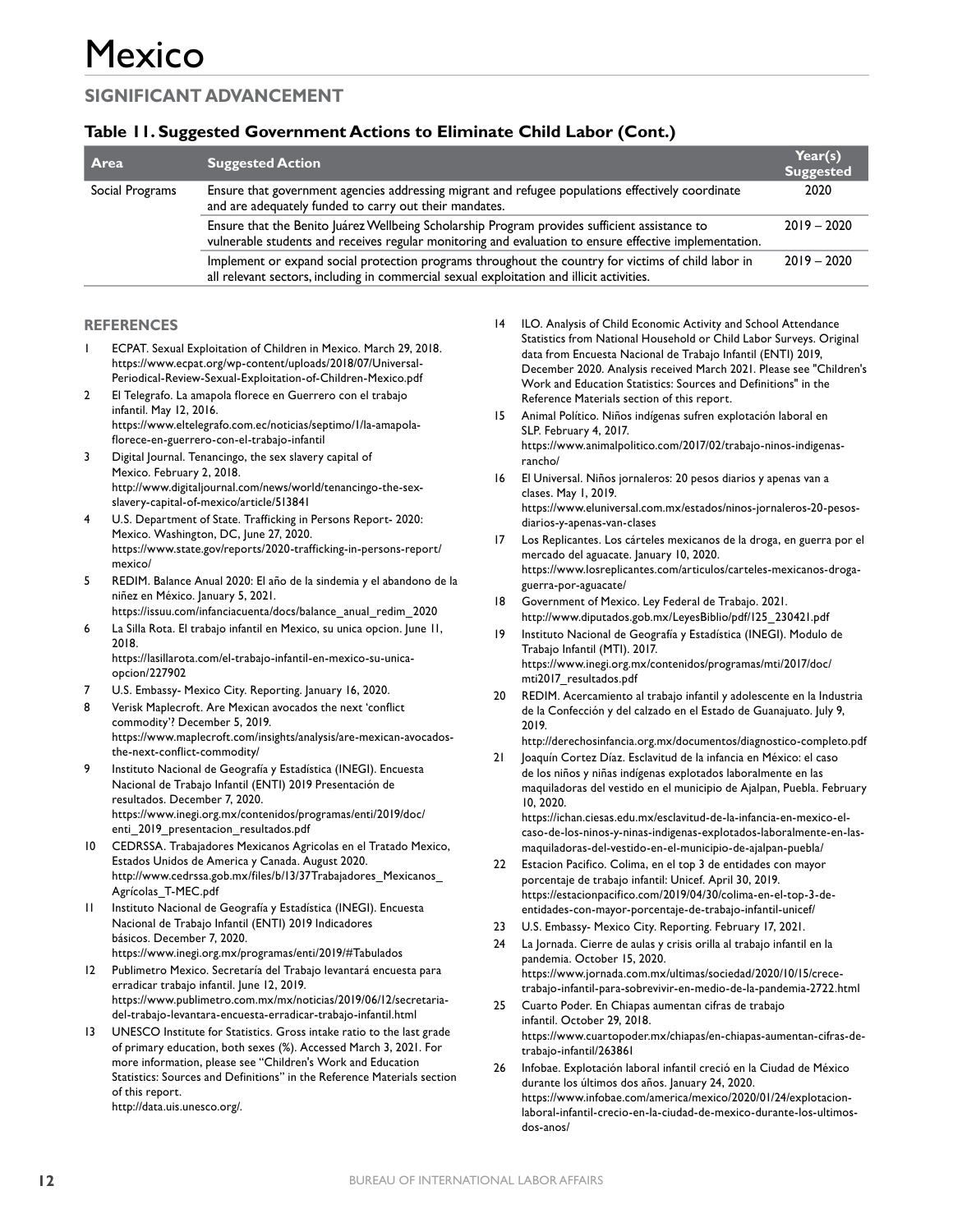#### **Table 11. Suggested Government Actions to Eliminate Child Labor (Cont.)**

| <b>Area</b>     | <b>Suggested Action</b>                                                                                                                                                                                 | Year(s)<br><b>Suggested</b> |
|-----------------|---------------------------------------------------------------------------------------------------------------------------------------------------------------------------------------------------------|-----------------------------|
| Social Programs | Ensure that government agencies addressing migrant and refugee populations effectively coordinate<br>and are adequately funded to carry out their mandates.                                             | 2020                        |
|                 | Ensure that the Benito Juárez Wellbeing Scholarship Program provides sufficient assistance to<br>vulnerable students and receives regular monitoring and evaluation to ensure effective implementation. | $2019 - 2020$               |
|                 | Implement or expand social protection programs throughout the country for victims of child labor in<br>all relevant sectors, including in commercial sexual exploitation and illicit activities.        | $2019 - 2020$               |

#### **REFERENCES**

- 1 ECPAT. Sexual Exploitation of Children in Mexico. March 29, 2018. https://www.ecpat.org/wp-content/uploads/2018/07/Universal-Periodical-Review-Sexual-Exploitation-of-Children-Mexico.pdf
- 2 El Telegrafo. La amapola florece en Guerrero con el trabajo infantil. May 12, 2016. https://www.eltelegrafo.com.ec/noticias/septimo/1/la-amapolaflorece-en-guerrero-con-el-trabajo-infantil
- 3 Digital Journal. Tenancingo, the sex slavery capital of Mexico. February 2, 2018. http://www.digitaljournal.com/news/world/tenancingo-the-sexslavery-capital-of-mexico/article/513841
- U.S. Department of State. Trafficking in Persons Report- 2020: Mexico. Washington, DC, June 27, 2020. https://www.state.gov/reports/2020-trafficking-in-persons-report/ mexico/
- 5 REDIM. Balance Anual 2020: El año de la sindemia y el abandono de la niñez en México. January 5, 2021.
- https://issuu.com/infanciacuenta/docs/balance\_anual\_redim\_2020 6 La Silla Rota. El trabajo infantil en Mexico, su unica opcion. June 11, 2018.
	- https://lasillarota.com/el-trabajo-infantil-en-mexico-su-unicaopcion/227902
- U.S. Embassy- Mexico City. Reporting. January 16, 2020.
- 8 Verisk Maplecroft. Are Mexican avocados the next 'conflict commodity'? December 5, 2019. https://www.maplecroft.com/insights/analysis/are-mexican-avocadosthe-next-conflict-commodity/
- 9 Instituto Nacional de Geografía y Estadística (INEGI). Encuesta Nacional de Trabajo Infantil (ENTI) 2019 Presentación de resultados. December 7, 2020. https://www.inegi.org.mx/contenidos/programas/enti/2019/doc/ enti\_2019\_presentacion\_resultados.pdf
- 10 CEDRSSA. Trabajadores Mexicanos Agricolas en el Tratado Mexico, Estados Unidos de America y Canada. August 2020. http://www.cedrssa.gob.mx/files/b/13/37Trabajadores\_Mexicanos\_ Agrícolas\_T-MEC.pdf
- 11 Instituto Nacional de Geografía y Estadística (INEGI). Encuesta Nacional de Trabajo Infantil (ENTI) 2019 Indicadores básicos. December 7, 2020. https://www.inegi.org.mx/programas/enti/2019/#Tabulados
- 12 Publimetro Mexico. Secretaría del Trabajo levantará encuesta para erradicar trabajo infantil. June 12, 2019. https://www.publimetro.com.mx/mx/noticias/2019/06/12/secretariadel-trabajo-levantara-encuesta-erradicar-trabajo-infantil.html
- 13 UNESCO Institute for Statistics. Gross intake ratio to the last grade of primary education, both sexes (%). Accessed March 3, 2021. For more information, please see "Children's Work and Education Statistics: Sources and Definitions" in the Reference Materials section of this report. http://data.uis.unesco.org/.
- 14 ILO. Analysis of Child Economic Activity and School Attendance Statistics from National Household or Child Labor Surveys. Original data from Encuesta Nacional de Trabajo Infantil (ENTI) 2019, December 2020. Analysis received March 2021. Please see "Children's Work and Education Statistics: Sources and Definitions" in the Reference Materials section of this report.
- 15 Animal Político. Niños indígenas sufren explotación laboral en SLP. February 4, 2017. https://www.animalpolitico.com/2017/02/trabajo-ninos-indigenasrancho/
- 16 El Universal. Niños jornaleros: 20 pesos diarios y apenas van a clases. May 1, 2019. https://www.eluniversal.com.mx/estados/ninos-jornaleros-20-pesosdiarios-y-apenas-van-clases
- 17 Los Replicantes. Los cárteles mexicanos de la droga, en guerra por el mercado del aguacate. January 10, 2020. https://www.losreplicantes.com/articulos/carteles-mexicanos-drogaguerra-por-aguacate/
- 18 Government of Mexico. Ley Federal de Trabajo. 2021. http://www.diputados.gob.mx/LeyesBiblio/pdf/125\_230421.pdf
- 19 Instituto Nacional de Geografía y Estadística (INEGI). Modulo de Trabajo Infantil (MTI). 2017. https://www.inegi.org.mx/contenidos/programas/mti/2017/doc/ mti2017\_resultados.pdf
- 20 REDIM. Acercamiento al trabajo infantil y adolescente en la Industria de la Confección y del calzado en el Estado de Guanajuato. July 9, 2019.

http://derechosinfancia.org.mx/documentos/diagnostico-completo.pdf

21 Joaquín Cortez Díaz. Esclavitud de la infancia en México: el caso de los niños y niñas indígenas explotados laboralmente en las maquiladoras del vestido en el municipio de Ajalpan, Puebla. February 10, 2020. https://ichan.ciesas.edu.mx/esclavitud-de-la-infancia-en-mexico-elcaso-de-los-ninos-y-ninas-indigenas-explotados-laboralmente-en-las-

maquiladoras-del-vestido-en-el-municipio-de-ajalpan-puebla/ 22 Estacion Pacifico. Colima, en el top 3 de entidades con mayor

- porcentaje de trabajo infantil: Unicef. April 30, 2019. https://estacionpacifico.com/2019/04/30/colima-en-el-top-3-deentidades-con-mayor-porcentaje-de-trabajo-infantil-unicef/
- 23 U.S. Embassy- Mexico City. Reporting. February 17, 2021.
- 24 La Jornada. Cierre de aulas y crisis orilla al trabajo infantil en la pandemia. October 15, 2020. https://www.jornada.com.mx/ultimas/sociedad/2020/10/15/crecetrabajo-infantil-para-sobrevivir-en-medio-de-la-pandemia-2722.html
- 25 Cuarto Poder. En Chiapas aumentan cifras de trabajo infantil. October 29, 2018. https://www.cuartopoder.mx/chiapas/en-chiapas-aumentan-cifras-detrabajo-infantil/263861
- 26 Infobae. Explotación laboral infantil creció en la Ciudad de México durante los últimos dos años. January 24, 2020. https://www.infobae.com/america/mexico/2020/01/24/explotacionlaboral-infantil-crecio-en-la-ciudad-de-mexico-durante-los-ultimosdos-anos/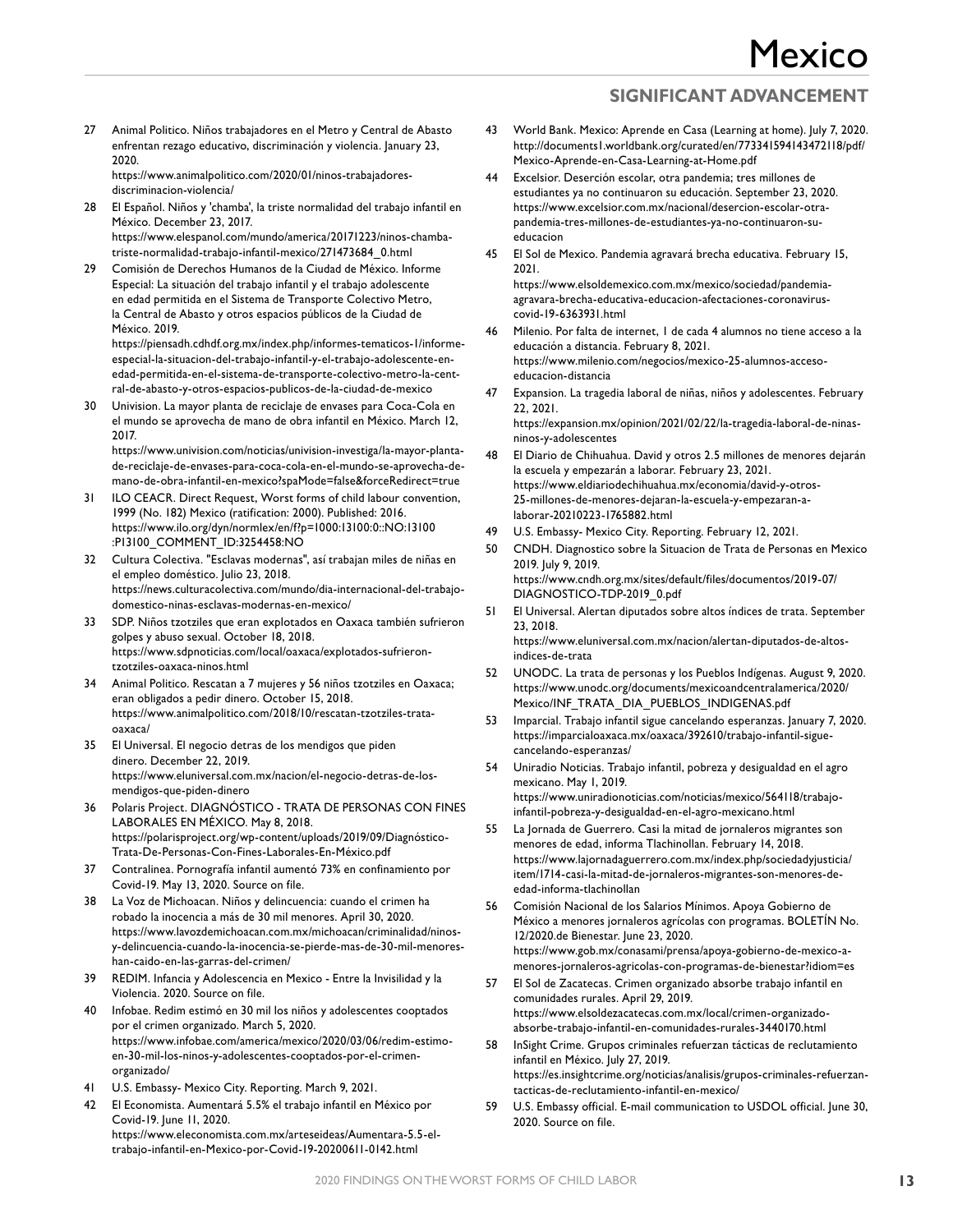27 Animal Politico. Niños trabajadores en el Metro y Central de Abasto enfrentan rezago educativo, discriminación y violencia. January 23, 2020.

https://www.animalpolitico.com/2020/01/ninos-trabajadoresdiscriminacion-violencia/

- 28 El Español. Niños y 'chamba', la triste normalidad del trabajo infantil en México. December 23, 2017. https://www.elespanol.com/mundo/america/20171223/ninos-chambatriste-normalidad-trabajo-infantil-mexico/271473684\_0.html
- 29 Comisión de Derechos Humanos de la Ciudad de México. Informe Especial: La situación del trabajo infantil y el trabajo adolescente en edad permitida en el Sistema de Transporte Colectivo Metro, la Central de Abasto y otros espacios públicos de la Ciudad de México. 2019.

https://piensadh.cdhdf.org.mx/index.php/informes-tematicos-1/informeespecial-la-situacion-del-trabajo-infantil-y-el-trabajo-adolescente-enedad-permitida-en-el-sistema-de-transporte-colectivo-metro-la-central-de-abasto-y-otros-espacios-publicos-de-la-ciudad-de-mexico

Univision. La mayor planta de reciclaje de envases para Coca-Cola en el mundo se aprovecha de mano de obra infantil en México. March 12, 2017.

https://www.univision.com/noticias/univision-investiga/la-mayor-plantade-reciclaje-de-envases-para-coca-cola-en-el-mundo-se-aprovecha-demano-de-obra-infantil-en-mexico?spaMode=false&forceRedirect=true

- 31 ILO CEACR. Direct Request, Worst forms of child labour convention, 1999 (No. 182) Mexico (ratification: 2000). Published: 2016. https://www.ilo.org/dyn/normlex/en/f?p=1000:13100:0::NO:13100 :P13100\_COMMENT\_ID:3254458:NO
- 32 Cultura Colectiva. "Esclavas modernas", así trabajan miles de niñas en el empleo doméstico. Julio 23, 2018. https://news.culturacolectiva.com/mundo/dia-internacional-del-trabajodomestico-ninas-esclavas-modernas-en-mexico/
- 33 SDP. Niños tzotziles que eran explotados en Oaxaca también sufrieron golpes y abuso sexual. October 18, 2018. https://www.sdpnoticias.com/local/oaxaca/explotados-sufrierontzotziles-oaxaca-ninos.html
- 34 Animal Politico. Rescatan a 7 mujeres y 56 niños tzotziles en Oaxaca; eran obligados a pedir dinero. October 15, 2018. https://www.animalpolitico.com/2018/10/rescatan-tzotziles-trataoaxaca/
- 35 El Universal. El negocio detras de los mendigos que piden dinero. December 22, 2019. https://www.eluniversal.com.mx/nacion/el-negocio-detras-de-losmendigos-que-piden-dinero
- 36 Polaris Project. DIAGNÓSTICO TRATA DE PERSONAS CON FINES LABORALES EN MÉXICO. May 8, 2018. https://polarisproject.org/wp-content/uploads/2019/09/Diagnóstico-Trata-De-Personas-Con-Fines-Laborales-En-México.pdf
- 37 Contralinea. Pornografía infantil aumentó 73% en confinamiento por Covid-19. May 13, 2020. Source on file.
- 38 La Voz de Michoacan. Niños y delincuencia: cuando el crimen ha robado la inocencia a más de 30 mil menores. April 30, 2020. https://www.lavozdemichoacan.com.mx/michoacan/criminalidad/ninosy-delincuencia-cuando-la-inocencia-se-pierde-mas-de-30-mil-menoreshan-caido-en-las-garras-del-crimen/
- 39 REDIM. Infancia y Adolescencia en Mexico Entre la Invisilidad y la Violencia. 2020. Source on file.
- 40 Infobae. Redim estimó en 30 mil los niños y adolescentes cooptados por el crimen organizado. March 5, 2020. https://www.infobae.com/america/mexico/2020/03/06/redim-estimoen-30-mil-los-ninos-y-adolescentes-cooptados-por-el-crimenorganizado/
- 41 U.S. Embassy- Mexico City. Reporting. March 9, 2021.
- 42 El Economista. Aumentará 5.5% el trabajo infantil en México por Covid-19. June 11, 2020. https://www.eleconomista.com.mx/arteseideas/Aumentara-5.5-eltrabajo-infantil-en-Mexico-por-Covid-19-20200611-0142.html
- 43 World Bank. Mexico: Aprende en Casa (Learning at home). July 7, 2020. http://documents1.worldbank.org/curated/en/773341594143472118/pdf/ Mexico-Aprende-en-Casa-Learning-at-Home.pdf
- 44 Excelsior. Deserción escolar, otra pandemia; tres millones de estudiantes ya no continuaron su educación. September 23, 2020. https://www.excelsior.com.mx/nacional/desercion-escolar-otrapandemia-tres-millones-de-estudiantes-ya-no-continuaron-sueducacion
- 45 El Sol de Mexico. Pandemia agravará brecha educativa. February 15, 2021. https://www.elsoldemexico.com.mx/mexico/sociedad/pandemia-

agravara-brecha-educativa-educacion-afectaciones-coronaviruscovid-19-6363931.html

- 46 Milenio. Por falta de internet, 1 de cada 4 alumnos no tiene acceso a la educación a distancia. February 8, 2021. https://www.milenio.com/negocios/mexico-25-alumnos-accesoeducacion-distancia
- 47 Expansion. La tragedia laboral de niñas, niños y adolescentes. February 22, 2021. https://expansion.mx/opinion/2021/02/22/la-tragedia-laboral-de-ninasninos-y-adolescentes
- 48 El Diario de Chihuahua. David y otros 2.5 millones de menores dejarán la escuela y empezarán a laborar. February 23, 2021. https://www.eldiariodechihuahua.mx/economia/david-y-otros-25-millones-de-menores-dejaran-la-escuela-y-empezaran-alaborar-20210223-1765882.html
- 49 U.S. Embassy- Mexico City. Reporting. February 12, 2021.
- 50 CNDH. Diagnostico sobre la Situacion de Trata de Personas en Mexico 2019. July 9, 2019. https://www.cndh.org.mx/sites/default/files/documentos/2019-07/ DIAGNOSTICO-TDP-2019\_0.pdf
- 51 El Universal. Alertan diputados sobre altos índices de trata. September 23, 2018. https://www.eluniversal.com.mx/nacion/alertan-diputados-de-altosindices-de-trata
- 52 UNODC. La trata de personas y los Pueblos Indígenas. August 9, 2020. https://www.unodc.org/documents/mexicoandcentralamerica/2020/ Mexico/INF\_TRATA\_DIA\_PUEBLOS\_INDIGENAS.pdf
- 53 Imparcial. Trabajo infantil sigue cancelando esperanzas. January 7, 2020. https://imparcialoaxaca.mx/oaxaca/392610/trabajo-infantil-siguecancelando-esperanzas/
- 54 Uniradio Noticias. Trabajo infantil, pobreza y desigualdad en el agro mexicano. May 1, 2019. https://www.uniradionoticias.com/noticias/mexico/564118/trabajoinfantil-pobreza-y-desigualdad-en-el-agro-mexicano.html
- 55 La Jornada de Guerrero. Casi la mitad de jornaleros migrantes son menores de edad, informa Tlachinollan. February 14, 2018. https://www.lajornadaguerrero.com.mx/index.php/sociedadyjusticia/ item/1714-casi-la-mitad-de-jornaleros-migrantes-son-menores-deedad-informa-tlachinollan
- 56 Comisión Nacional de los Salarios Mínimos. Apoya Gobierno de México a menores jornaleros agrícolas con programas. BOLETÍN No. 12/2020.de Bienestar. June 23, 2020. https://www.gob.mx/conasami/prensa/apoya-gobierno-de-mexico-amenores-jornaleros-agricolas-con-programas-de-bienestar?idiom=es
- 57 El Sol de Zacatecas. Crimen organizado absorbe trabajo infantil en comunidades rurales. April 29, 2019. https://www.elsoldezacatecas.com.mx/local/crimen-organizadoabsorbe-trabajo-infantil-en-comunidades-rurales-3440170.html
- 58 InSight Crime. Grupos criminales refuerzan tácticas de reclutamiento infantil en México. July 27, 2019. https://es.insightcrime.org/noticias/analisis/grupos-criminales-refuerzantacticas-de-reclutamiento-infantil-en-mexico/
- 59 U.S. Embassy official. E-mail communication to USDOL official. June 30, 2020. Source on file.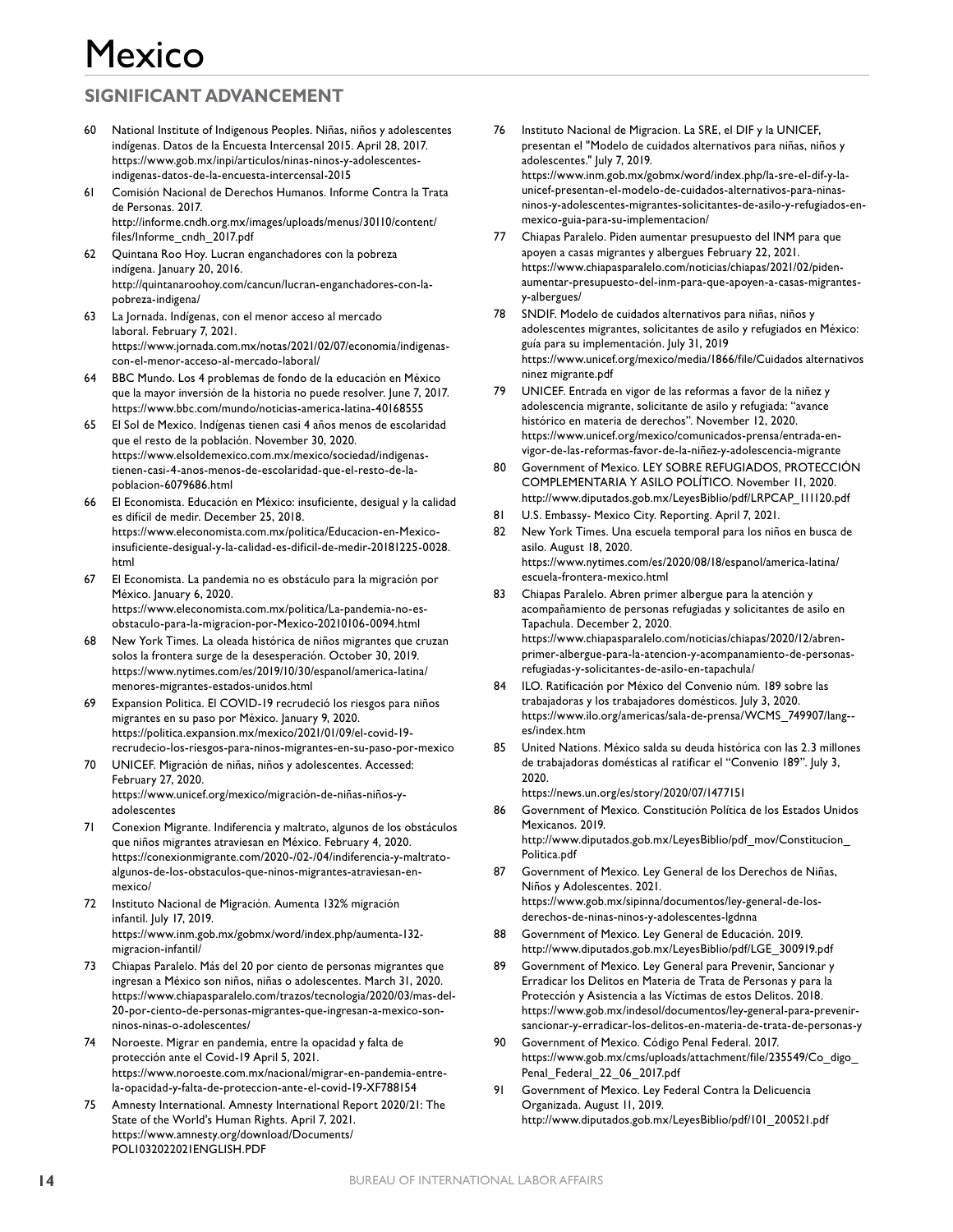## **SIGNIFICANT ADVANCEMENT**

- 60 National Institute of Indigenous Peoples. Niñas, niños y adolescentes indígenas. Datos de la Encuesta Intercensal 2015. April 28, 2017. https://www.gob.mx/inpi/articulos/ninas-ninos-y-adolescentesindigenas-datos-de-la-encuesta-intercensal-2015
- 61 Comisión Nacional de Derechos Humanos. Informe Contra la Trata de Personas. 2017. http://informe.cndh.org.mx/images/uploads/menus/30110/content/ files/Informe\_cndh\_2017.pdf
- 62 Quintana Roo Hoy. Lucran enganchadores con la pobreza indígena. January 20, 2016. http://quintanaroohoy.com/cancun/lucran-enganchadores-con-lapobreza-indigena/
- 63 La Jornada. Indígenas, con el menor acceso al mercado laboral. February 7, 2021. https://www.jornada.com.mx/notas/2021/02/07/economia/indigenascon-el-menor-acceso-al-mercado-laboral/
- 64 BBC Mundo. Los 4 problemas de fondo de la educación en México que la mayor inversión de la historia no puede resolver. June 7, 2017. https://www.bbc.com/mundo/noticias-america-latina-40168555
- 65 El Sol de Mexico. Indígenas tienen casi 4 años menos de escolaridad que el resto de la población. November 30, 2020. https://www.elsoldemexico.com.mx/mexico/sociedad/indigenastienen-casi-4-anos-menos-de-escolaridad-que-el-resto-de-lapoblacion-6079686.html
- 66 El Economista. Educación en México: insuficiente, desigual y la calidad es difícil de medir. December 25, 2018. https://www.eleconomista.com.mx/politica/Educacion-en-Mexicoinsuficiente-desigual-y-la-calidad-es-dificil-de-medir-20181225-0028. html
- 67 El Economista. La pandemia no es obstáculo para la migración por México. January 6, 2020. https://www.eleconomista.com.mx/politica/La-pandemia-no-esobstaculo-para-la-migracion-por-Mexico-20210106-0094.html
- 68 New York Times. La oleada histórica de niños migrantes que cruzan solos la frontera surge de la desesperación. October 30, 2019. https://www.nytimes.com/es/2019/10/30/espanol/america-latina/ menores-migrantes-estados-unidos.html
- 69 Expansion Politica. El COVID-19 recrudeció los riesgos para niños migrantes en su paso por México. January 9, 2020. https://politica.expansion.mx/mexico/2021/01/09/el-covid-19 recrudecio-los-riesgos-para-ninos-migrantes-en-su-paso-por-mexico
- 70 UNICEF. Migración de niñas, niños y adolescentes. Accessed: February 27, 2020. https://www.unicef.org/mexico/migración-de-niñas-niños-yadolescentes
- 71 Conexion Migrante. Indiferencia y maltrato, algunos de los obstáculos que niños migrantes atraviesan en México. February 4, 2020. https://conexionmigrante.com/2020-/02-/04/indiferencia-y-maltratoalgunos-de-los-obstaculos-que-ninos-migrantes-atraviesan-enmexico/
- 72 Instituto Nacional de Migración. Aumenta 132% migración infantil. July 17, 2019. https://www.inm.gob.mx/gobmx/word/index.php/aumenta-132 migracion-infantil/
- 73 Chiapas Paralelo. Más del 20 por ciento de personas migrantes que ingresan a México son niños, niñas o adolescentes. March 31, 2020. https://www.chiapasparalelo.com/trazos/tecnologia/2020/03/mas-del-20-por-ciento-de-personas-migrantes-que-ingresan-a-mexico-sonninos-ninas-o-adolescentes/
- Noroeste. Migrar en pandemia, entre la opacidad y falta de protección ante el Covid-19 April 5, 2021. https://www.noroeste.com.mx/nacional/migrar-en-pandemia-entrela-opacidad-y-falta-de-proteccion-ante-el-covid-19-XF788154
- 75 Amnesty International. Amnesty International Report 2020/21: The State of the World's Human Rights. April 7, 2021. https://www.amnesty.org/download/Documents/ POL1032022021ENGLISH.PDF
- 76 Instituto Nacional de Migracion. La SRE, el DIF y la UNICEF, presentan el "Modelo de cuidados alternativos para niñas, niños y adolescentes." July 7, 2019. https://www.inm.gob.mx/gobmx/word/index.php/la-sre-el-dif-y-launicef-presentan-el-modelo-de-cuidados-alternativos-para-ninasninos-y-adolescentes-migrantes-solicitantes-de-asilo-y-refugiados-enmexico-guia-para-su-implementacion/
- 77 Chiapas Paralelo. Piden aumentar presupuesto del INM para que apoyen a casas migrantes y albergues February 22, 2021. https://www.chiapasparalelo.com/noticias/chiapas/2021/02/pidenaumentar-presupuesto-del-inm-para-que-apoyen-a-casas-migrantesy-albergues/
- 78 SNDIF. Modelo de cuidados alternativos para niñas, niños y adolescentes migrantes, solicitantes de asilo y refugiados en México: guía para su implementación. July 31, 2019 https://www.unicef.org/mexico/media/1866/file/Cuidados alternativos ninez migrante.pdf
- 79 UNICEF. Entrada en vigor de las reformas a favor de la niñez y adolescencia migrante, solicitante de asilo y refugiada: "avance histórico en materia de derechos". November 12, 2020. https://www.unicef.org/mexico/comunicados-prensa/entrada-envigor-de-las-reformas-favor-de-la-niñez-y-adolescencia-migrante
- Government of Mexico. LEY SOBRE REFUGIADOS, PROTECCIÓN COMPLEMENTARIA Y ASILO POLÍTICO. November 11, 2020. http://www.diputados.gob.mx/LeyesBiblio/pdf/LRPCAP\_111120.pdf
- 81 U.S. Embassy- Mexico City. Reporting. April 7, 2021.
- 82 New York Times. Una escuela temporal para los niños en busca de asilo. August 18, 2020. https://www.nytimes.com/es/2020/08/18/espanol/america-latina/ escuela-frontera-mexico.html
- 83 Chiapas Paralelo. Abren primer albergue para la atención y acompañamiento de personas refugiadas y solicitantes de asilo en Tapachula. December 2, 2020. https://www.chiapasparalelo.com/noticias/chiapas/2020/12/abrenprimer-albergue-para-la-atencion-y-acompanamiento-de-personasrefugiadas-y-solicitantes-de-asilo-en-tapachula/
- ILO. Ratificación por México del Convenio núm. 189 sobre las trabajadoras y los trabajadores domésticos. July 3, 2020. https://www.ilo.org/americas/sala-de-prensa/WCMS\_749907/lang- es/index.htm
- 85 United Nations. México salda su deuda histórica con las 2.3 millones de trabajadoras domésticas al ratificar el "Convenio 189". July 3, 2020.

https://news.un.org/es/story/2020/07/1477151

- 86 Government of Mexico. Constitución Política de los Estados Unidos Mexicanos. 2019. http://www.diputados.gob.mx/LeyesBiblio/pdf\_mov/Constitucion\_ Politica.pdf
- 87 Government of Mexico. Ley General de los Derechos de Niñas, Niños y Adolescentes. 2021. https://www.gob.mx/sipinna/documentos/ley-general-de-losderechos-de-ninas-ninos-y-adolescentes-lgdnna
- 88 Government of Mexico. Ley General de Educación. 2019. http://www.diputados.gob.mx/LeyesBiblio/pdf/LGE\_300919.pdf
- 89 Government of Mexico. Ley General para Prevenir, Sancionar y Erradicar los Delitos en Materia de Trata de Personas y para la Protección y Asistencia a las Víctimas de estos Delitos. 2018. https://www.gob.mx/indesol/documentos/ley-general-para-prevenirsancionar-y-erradicar-los-delitos-en-materia-de-trata-de-personas-y
- Government of Mexico. Código Penal Federal. 2017. https://www.gob.mx/cms/uploads/attachment/file/235549/Co\_digo\_ Penal\_Federal\_22\_06\_2017.pdf
- 91 Government of Mexico. Ley Federal Contra la Delicuencia Organizada. August 11, 2019. http://www.diputados.gob.mx/LeyesBiblio/pdf/101\_200521.pdf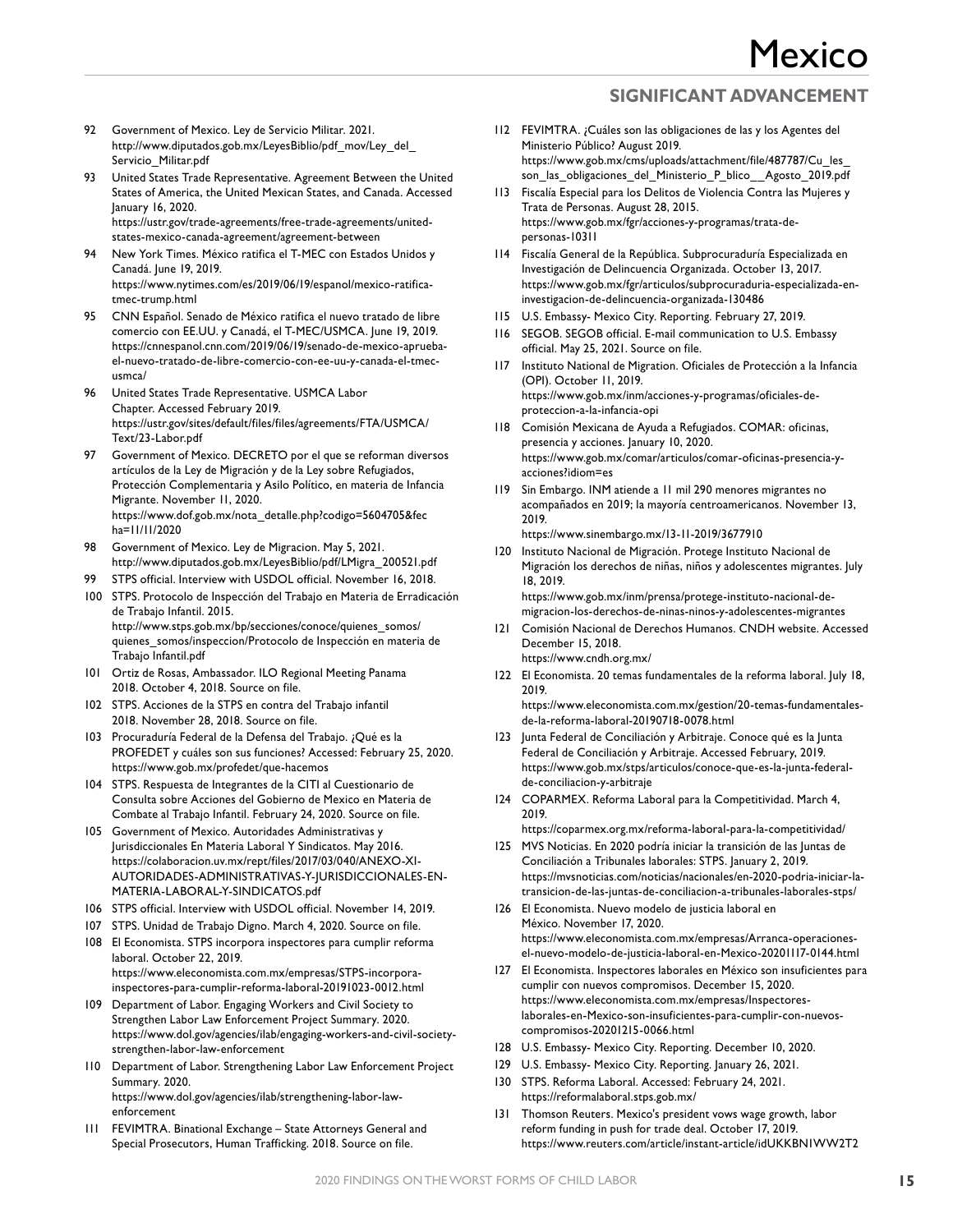- 92 Government of Mexico. Ley de Servicio Militar. 2021. http://www.diputados.gob.mx/LeyesBiblio/pdf\_mov/Ley\_del\_ Servicio Militar.pdf
- 93 United States Trade Representative. Agreement Between the United States of America, the United Mexican States, and Canada. Accessed January 16, 2020. https://ustr.gov/trade-agreements/free-trade-agreements/unitedstates-mexico-canada-agreement/agreement-between
- 94 New York Times. México ratifica el T-MEC con Estados Unidos y Canadá. June 19, 2019. https://www.nytimes.com/es/2019/06/19/espanol/mexico-ratificatmec-trump.html
- 95 CNN Español. Senado de México ratifica el nuevo tratado de libre comercio con EE.UU. y Canadá, el T-MEC/USMCA. June 19, 2019. https://cnnespanol.cnn.com/2019/06/19/senado-de-mexico-apruebael-nuevo-tratado-de-libre-comercio-con-ee-uu-y-canada-el-tmecusmca/
- 96 United States Trade Representative. USMCA Labor Chapter. Accessed February 2019. https://ustr.gov/sites/default/files/files/agreements/FTA/USMCA/ Text/23-Labor.pdf
- Government of Mexico. DECRETO por el que se reforman diversos artículos de la Ley de Migración y de la Ley sobre Refugiados, Protección Complementaria y Asilo Político, en materia de Infancia Migrante. November 11, 2020. https://www.dof.gob.mx/nota\_detalle.php?codigo=5604705&fec ha=11/11/2020
- 98 Government of Mexico. Ley de Migracion. May 5, 2021. http://www.diputados.gob.mx/LeyesBiblio/pdf/LMigra\_200521.pdf
- 99 STPS official. Interview with USDOL official. November 16, 2018.
- 100 STPS. Protocolo de Inspección del Trabajo en Materia de Erradicación de Trabajo Infantil. 2015. http://www.stps.gob.mx/bp/secciones/conoce/quienes\_somos/ quienes\_somos/inspeccion/Protocolo de Inspección en materia de Trabajo Infantil.pdf
- 101 Ortiz de Rosas, Ambassador. ILO Regional Meeting Panama 2018. October 4, 2018. Source on file.
- 102 STPS. Acciones de la STPS en contra del Trabajo infantil 2018. November 28, 2018. Source on file.
- 103 Procuraduría Federal de la Defensa del Trabajo. ¿Qué es la PROFEDET y cuáles son sus funciones? Accessed: February 25, 2020. https://www.gob.mx/profedet/que-hacemos
- 104 STPS. Respuesta de Integrantes de la CITI al Cuestionario de Consulta sobre Acciones del Gobierno de Mexico en Materia de Combate al Trabajo Infantil. February 24, 2020. Source on file.
- 105 Government of Mexico. Autoridades Administrativas y Jurisdiccionales En Materia Laboral Y Sindicatos. May 2016. https://colaboracion.uv.mx/rept/files/2017/03/040/ANEXO-XI-AUTORIDADES-ADMINISTRATIVAS-Y-JURISDICCIONALES-EN-MATERIA-LABORAL-Y-SINDICATOS.pdf
- 106 STPS official. Interview with USDOL official. November 14, 2019.
- 107 STPS. Unidad de Trabajo Digno. March 4, 2020. Source on file.
- 108 El Economista. STPS incorpora inspectores para cumplir reforma laboral. October 22, 2019. https://www.eleconomista.com.mx/empresas/STPS-incorporainspectores-para-cumplir-reforma-laboral-20191023-0012.html
- 109 Department of Labor. Engaging Workers and Civil Society to Strengthen Labor Law Enforcement Project Summary. 2020. https://www.dol.gov/agencies/ilab/engaging-workers-and-civil-societystrengthen-labor-law-enforcement
- 110 Department of Labor. Strengthening Labor Law Enforcement Project Summary. 2020. https://www.dol.gov/agencies/ilab/strengthening-labor-lawenforcement
- 111 FEVIMTRA. Binational Exchange State Attorneys General and Special Prosecutors, Human Trafficking. 2018. Source on file.
- 112 FEVIMTRA. ¿Cuáles son las obligaciones de las y los Agentes del Ministerio Público? August 2019. https://www.gob.mx/cms/uploads/attachment/file/487787/Cu\_les\_ son\_las\_obligaciones\_del\_Ministerio\_P\_blico\_\_Agosto\_2019.pdf
- 113 Fiscalía Especial para los Delitos de Violencia Contra las Mujeres y Trata de Personas. August 28, 2015. https://www.gob.mx/fgr/acciones-y-programas/trata-depersonas-10311
- 114 Fiscalía General de la República. Subprocuraduría Especializada en Investigación de Delincuencia Organizada. October 13, 2017. https://www.gob.mx/fgr/articulos/subprocuraduria-especializada-eninvestigacion-de-delincuencia-organizada-130486
- 115 U.S. Embassy- Mexico City. Reporting. February 27, 2019.
- 116 SEGOB. SEGOB official. E-mail communication to U.S. Embassy official. May 25, 2021. Source on file.
- 117 Instituto National de Migration. Oficiales de Protección a la Infancia (OPI). October 11, 2019. https://www.gob.mx/inm/acciones-y-programas/oficiales-deproteccion-a-la-infancia-opi
- 118 Comisión Mexicana de Ayuda a Refugiados. COMAR: oficinas, presencia y acciones. January 10, 2020. https://www.gob.mx/comar/articulos/comar-oficinas-presencia-yacciones?idiom=es
- 119 Sin Embargo. INM atiende a 11 mil 290 menores migrantes no acompañados en 2019; la mayoría centroamericanos. November 13, 2019.

https://www.sinembargo.mx/13-11-2019/3677910

- 120 Instituto Nacional de Migración. Protege Instituto Nacional de Migración los derechos de niñas, niños y adolescentes migrantes. July 18, 2019. https://www.gob.mx/inm/prensa/protege-instituto-nacional-de-
- migracion-los-derechos-de-ninas-ninos-y-adolescentes-migrantes 121 Comisión Nacional de Derechos Humanos. CNDH website. Accessed December 15, 2018. https://www.cndh.org.mx/
- 122 El Economista. 20 temas fundamentales de la reforma laboral. July 18, 2019.

https://www.eleconomista.com.mx/gestion/20-temas-fundamentalesde-la-reforma-laboral-20190718-0078.html

- 123 Junta Federal de Conciliación y Arbitraje. Conoce qué es la Junta Federal de Conciliación y Arbitraje. Accessed February, 2019. https://www.gob.mx/stps/articulos/conoce-que-es-la-junta-federalde-conciliacion-y-arbitraje
- 124 COPARMEX. Reforma Laboral para la Competitividad. March 4, 2019.

https://coparmex.org.mx/reforma-laboral-para-la-competitividad/

- 125 MVS Noticias. En 2020 podría iniciar la transición de las Juntas de Conciliación a Tribunales laborales: STPS. January 2, 2019. https://mvsnoticias.com/noticias/nacionales/en-2020-podria-iniciar-latransicion-de-las-juntas-de-conciliacion-a-tribunales-laborales-stps/
- 126 El Economista. Nuevo modelo de justicia laboral en México. November 17, 2020. https://www.eleconomista.com.mx/empresas/Arranca-operacionesel-nuevo-modelo-de-justicia-laboral-en-Mexico-20201117-0144.html
- 127 El Economista. Inspectores laborales en México son insuficientes para cumplir con nuevos compromisos. December 15, 2020. https://www.eleconomista.com.mx/empresas/Inspectoreslaborales-en-Mexico-son-insuficientes-para-cumplir-con-nuevoscompromisos-20201215-0066.html
- 128 U.S. Embassy- Mexico City. Reporting. December 10, 2020.
- 129 U.S. Embassy- Mexico City. Reporting. January 26, 2021.
- 130 STPS. Reforma Laboral. Accessed: February 24, 2021. https://reformalaboral.stps.gob.mx/
- 131 Thomson Reuters. Mexico's president vows wage growth, labor reform funding in push for trade deal. October 17, 2019. https://www.reuters.com/article/instant-article/idUKKBN1WW2T2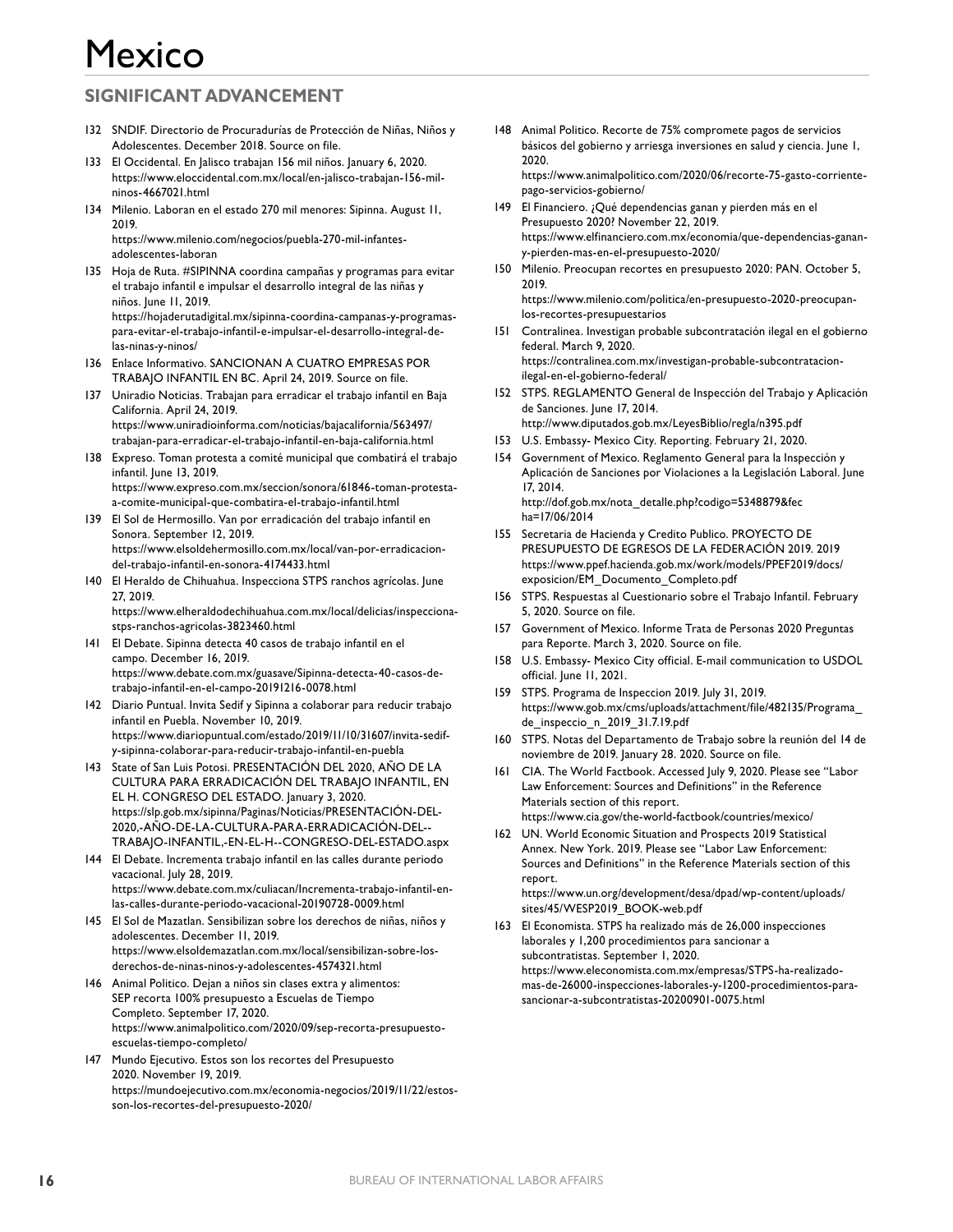## **SIGNIFICANT ADVANCEMENT**

- 132 SNDIF. Directorio de Procuradurías de Protección de Niñas, Niños y Adolescentes. December 2018. Source on file.
- 133 El Occidental. En Jalisco trabajan 156 mil niños. January 6, 2020. https://www.eloccidental.com.mx/local/en-jalisco-trabajan-156-milninos-4667021.html
- 134 Milenio. Laboran en el estado 270 mil menores: Sipinna. August 11, 2019.

https://www.milenio.com/negocios/puebla-270-mil-infantesadolescentes-laboran

- 135 Hoja de Ruta. #SIPINNA coordina campañas y programas para evitar el trabajo infantil e impulsar el desarrollo integral de las niñas y niños. June 11, 2019. https://hojaderutadigital.mx/sipinna-coordina-campanas-y-programaspara-evitar-el-trabajo-infantil-e-impulsar-el-desarrollo-integral-delas-ninas-y-ninos/
- 136 Enlace Informativo. SANCIONAN A CUATRO EMPRESAS POR TRABAJO INFANTIL EN BC. April 24, 2019. Source on file.
- 137 Uniradio Noticias. Trabajan para erradicar el trabajo infantil en Baja California. April 24, 2019. https://www.uniradioinforma.com/noticias/bajacalifornia/563497/ trabajan-para-erradicar-el-trabajo-infantil-en-baja-california.html
- 138 Expreso. Toman protesta a comité municipal que combatirá el trabajo infantil. June 13, 2019. https://www.expreso.com.mx/seccion/sonora/61846-toman-protestaa-comite-municipal-que-combatira-el-trabajo-infantil.html
- 139 El Sol de Hermosillo. Van por erradicación del trabajo infantil en Sonora. September 12, 2019. https://www.elsoldehermosillo.com.mx/local/van-por-erradicaciondel-trabajo-infantil-en-sonora-4174433.html
- 140 El Heraldo de Chihuahua. Inspecciona STPS ranchos agrícolas. June 27, 2019.

https://www.elheraldodechihuahua.com.mx/local/delicias/inspeccionastps-ranchos-agricolas-3823460.html

- 141 El Debate. Sipinna detecta 40 casos de trabajo infantil en el campo. December 16, 2019. https://www.debate.com.mx/guasave/Sipinna-detecta-40-casos-detrabajo-infantil-en-el-campo-20191216-0078.html
- 142 Diario Puntual. Invita Sedif y Sipinna a colaborar para reducir trabajo infantil en Puebla. November 10, 2019. https://www.diariopuntual.com/estado/2019/11/10/31607/invita-sedify-sipinna-colaborar-para-reducir-trabajo-infantil-en-puebla
- 143 State of San Luis Potosi. PRESENTACIÓN DEL 2020, AÑO DE LA CULTURA PARA ERRADICACIÓN DEL TRABAJO INFANTIL, EN EL H. CONGRESO DEL ESTADO. January 3, 2020. https://slp.gob.mx/sipinna/Paginas/Noticias/PRESENTACIÓN-DEL-2020,-AÑO-DE-LA-CULTURA-PARA-ERRADICACIÓN-DEL-- TRABAJO-INFANTIL,-EN-EL-H--CONGRESO-DEL-ESTADO.aspx
- 144 El Debate. Incrementa trabajo infantil en las calles durante periodo vacacional. July 28, 2019. https://www.debate.com.mx/culiacan/Incrementa-trabajo-infantil-enlas-calles-durante-periodo-vacacional-20190728-0009.html
- 145 El Sol de Mazatlan. Sensibilizan sobre los derechos de niñas, niños y adolescentes. December 11, 2019. https://www.elsoldemazatlan.com.mx/local/sensibilizan-sobre-losderechos-de-ninas-ninos-y-adolescentes-4574321.html
- 146 Animal Politico. Dejan a niños sin clases extra y alimentos: SEP recorta 100% presupuesto a Escuelas de Tiempo Completo. September 17, 2020. https://www.animalpolitico.com/2020/09/sep-recorta-presupuestoescuelas-tiempo-completo/
- 147 Mundo Ejecutivo. Estos son los recortes del Presupuesto 2020. November 19, 2019. https://mundoejecutivo.com.mx/economia-negocios/2019/11/22/estosson-los-recortes-del-presupuesto-2020/
- 148 Animal Politico. Recorte de 75% compromete pagos de servicios básicos del gobierno y arriesga inversiones en salud y ciencia. June 1, 2020. https://www.animalpolitico.com/2020/06/recorte-75-gasto-corriente-
- pago-servicios-gobierno/ 149 El Financiero. ¿Qué dependencias ganan y pierden más en el Presupuesto 2020? November 22, 2019. https://www.elfinanciero.com.mx/economia/que-dependencias-ganany-pierden-mas-en-el-presupuesto-2020/
- 150 Milenio. Preocupan recortes en presupuesto 2020: PAN. October 5, 2019. https://www.milenio.com/politica/en-presupuesto-2020-preocupanlos-recortes-presupuestarios
- 151 Contralinea. Investigan probable subcontratación ilegal en el gobierno federal. March 9, 2020. https://contralinea.com.mx/investigan-probable-subcontratacionilegal-en-el-gobierno-federal/
- 152 STPS. REGLAMENTO General de Inspección del Trabajo y Aplicación de Sanciones. June 17, 2014. http://www.diputados.gob.mx/LeyesBiblio/regla/n395.pdf
- 153 U.S. Embassy- Mexico City. Reporting. February 21, 2020.
- 154 Government of Mexico. Reglamento General para la Inspección y Aplicación de Sanciones por Violaciones a la Legislación Laboral. June 17, 2014. http://dof.gob.mx/nota\_detalle.php?codigo=5348879&fec ha=17/06/2014
- 155 Secretaria de Hacienda y Credito Publico. PROYECTO DE PRESUPUESTO DE EGRESOS DE LA FEDERACIÓN 2019. 2019 https://www.ppef.hacienda.gob.mx/work/models/PPEF2019/docs/ exposicion/EM\_Documento\_Completo.pdf
- 156 STPS. Respuestas al Cuestionario sobre el Trabajo Infantil. February 5, 2020. Source on file.
- 157 Government of Mexico. Informe Trata de Personas 2020 Preguntas para Reporte. March 3, 2020. Source on file.
- 158 U.S. Embassy- Mexico City official. E-mail communication to USDOL official. June 11, 2021.
- 159 STPS. Programa de Inspeccion 2019. July 31, 2019. https://www.gob.mx/cms/uploads/attachment/file/482135/Programa\_ de\_inspeccio\_n\_2019\_31.7.19.pdf
- 160 STPS. Notas del Departamento de Trabajo sobre la reunión del 14 de noviembre de 2019. January 28. 2020. Source on file.
- 161 CIA. The World Factbook. Accessed July 9, 2020. Please see "Labor Law Enforcement: Sources and Definitions" in the Reference Materials section of this report. https://www.cia.gov/the-world-factbook/countries/mexico/
- 162 UN. World Economic Situation and Prospects 2019 Statistical Annex. New York. 2019. Please see "Labor Law Enforcement: Sources and Definitions" in the Reference Materials section of this report.

https://www.un.org/development/desa/dpad/wp-content/uploads/ sites/45/WESP2019\_BOOK-web.pdf

163 El Economista. STPS ha realizado más de 26,000 inspecciones laborales y 1,200 procedimientos para sancionar a subcontratistas. September 1, 2020. https://www.eleconomista.com.mx/empresas/STPS-ha-realizadomas-de-26000-inspecciones-laborales-y-1200-procedimientos-parasancionar-a-subcontratistas-20200901-0075.html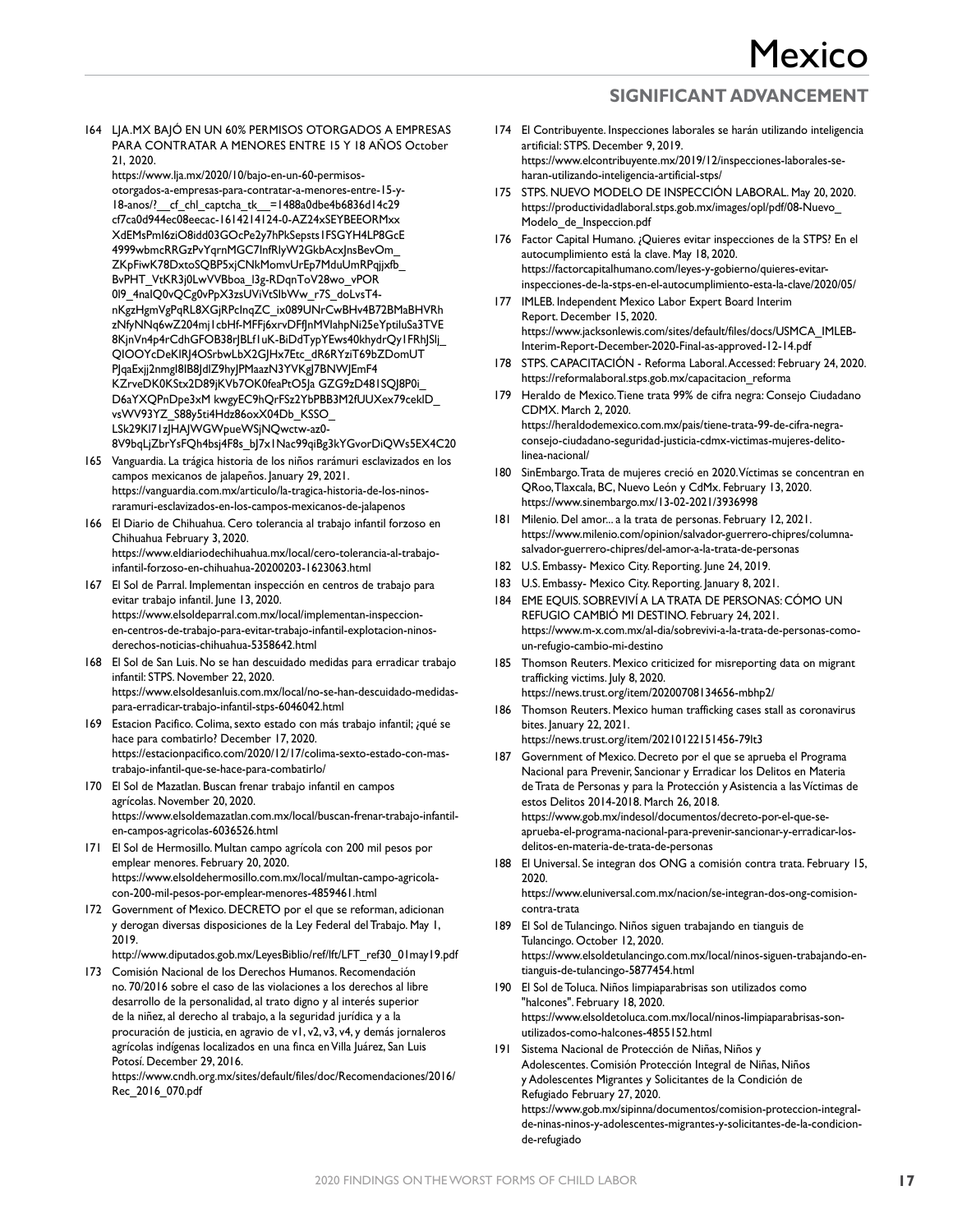164 LJA.MX BAJÓ EN UN 60% PERMISOS OTORGADOS A EMPRESAS PARA CONTRATAR A MENORES ENTRE 15 Y 18 AÑOS October 21, 2020.

https://www.lja.mx/2020/10/bajo-en-un-60-permisosotorgados-a-empresas-para-contratar-a-menores-entre-15-y-18-anos/? cf chl captcha\_tk =1488a0dbe4b6836d14c29 cf7ca0d944ec08eecac-1614214124-0-AZ24xSEYBEEORMxx XdEMsPmI6ziO8idd03GOcPe2y7hPkSepsts1FSGYH4LP8GcE 4999wbmcRRGzPvYqrnMGC7InfRlyW2GkbAcxJnsBevOm\_ ZKpFiwK78DxtoSQBP5xjCNkMomvUrEp7MduUmRPqjjxfb\_ BvPHT\_VtKR3j0LwVVBboa\_l3g-RDqnToV28wo\_vPOR 019\_4naIQ0vQCg0vPpX3zsUViVtSIbWw\_r7S\_doLvsT4nKgzHgmVgPqRL8XGjRPcInqZC\_ix089UNrCwBHv4B72BMaBHVRh zNfyNNq6wZ204mj1cbHf-MFFj6xrvDFfJnMVIahpNi25eYptiluSa3TVE 8KjnVn4p4rCdhGFOB38rJBLf1uK-BiDdTypYEws40khydrQy1FRhJSlj\_ QIOOYcDeKlRJ4OSrbwLbX2GJHx7Etc\_dR6RYziT69bZDomUT PJqaExjj2nmgI8IB8JdlZ9hyJPMaazN3YVKgJ7BNWJEmF4 KZrveDK0KStx2D89jKVb7OK0feaPtO5Ja GZG9zD481SQJ8P0i\_ D6aYXQPnDpe3xM kwgyEC9hQrFSz2YbPBB3M2fUUXex79ceklD\_ vsWV93YZ\_S88y5ti4Hdz86oxX04Db\_KSSO\_ LSk29Kl71zJHAJWGWpueWSjNQwctw-az0- 8V9bqLjZbrYsFQh4bsj4F8s\_bJ7x1Nac99qiBg3kYGvorDiQWs5EX4C20

- 165 Vanguardia. La trágica historia de los niños rarámuri esclavizados en los campos mexicanos de jalapeños. January 29, 2021. https://vanguardia.com.mx/articulo/la-tragica-historia-de-los-ninosraramuri-esclavizados-en-los-campos-mexicanos-de-jalapenos
- 166 El Diario de Chihuahua. Cero tolerancia al trabajo infantil forzoso en Chihuahua February 3, 2020. https://www.eldiariodechihuahua.mx/local/cero-tolerancia-al-trabajoinfantil-forzoso-en-chihuahua-20200203-1623063.html
- 167 El Sol de Parral. Implementan inspección en centros de trabajo para evitar trabajo infantil. June 13, 2020. https://www.elsoldeparral.com.mx/local/implementan-inspeccionen-centros-de-trabajo-para-evitar-trabajo-infantil-explotacion-ninosderechos-noticias-chihuahua-5358642.html
- 168 El Sol de San Luis. No se han descuidado medidas para erradicar trabajo infantil: STPS. November 22, 2020. https://www.elsoldesanluis.com.mx/local/no-se-han-descuidado-medidaspara-erradicar-trabajo-infantil-stps-6046042.html
- 169 Estacion Pacifico. Colima, sexto estado con más trabajo infantil; ¿qué se hace para combatirlo? December 17, 2020. https://estacionpacifico.com/2020/12/17/colima-sexto-estado-con-mastrabajo-infantil-que-se-hace-para-combatirlo/
- 170 El Sol de Mazatlan. Buscan frenar trabajo infantil en campos agrícolas. November 20, 2020. https://www.elsoldemazatlan.com.mx/local/buscan-frenar-trabajo-infantilen-campos-agricolas-6036526.html
- 171 El Sol de Hermosillo. Multan campo agrícola con 200 mil pesos por emplear menores. February 20, 2020. https://www.elsoldehermosillo.com.mx/local/multan-campo-agricolacon-200-mil-pesos-por-emplear-menores-4859461.html
- 172 Government of Mexico. DECRETO por el que se reforman, adicionan y derogan diversas disposiciones de la Ley Federal del Trabajo. May 1, 2019.

http://www.diputados.gob.mx/LeyesBiblio/ref/lft/LFT\_ref30\_01may19.pdf

173 Comisión Nacional de los Derechos Humanos. Recomendación no. 70/2016 sobre el caso de las violaciones a los derechos al libre desarrollo de la personalidad, al trato digno y al interés superior de la niñez, al derecho al trabajo, a la seguridad jurídica y a la procuración de justicia, en agravio de v1, v2, v3, v4, y demás jornaleros agrícolas indígenas localizados en una finca en Villa Juárez, San Luis Potosí. December 29, 2016.

https://www.cndh.org.mx/sites/default/files/doc/Recomendaciones/2016/ Rec\_2016\_070.pdf

- 174 El Contribuyente. Inspecciones laborales se harán utilizando inteligencia artificial: STPS. December 9, 2019. https://www.elcontribuyente.mx/2019/12/inspecciones-laborales-seharan-utilizando-inteligencia-artificial-stps/
- 175 STPS. NUEVO MODELO DE INSPECCIÓN LABORAL. May 20, 2020. https://productividadlaboral.stps.gob.mx/images/opl/pdf/08-Nuevo\_ Modelo\_de\_Inspeccion.pdf
- 176 Factor Capital Humano. ¿Quieres evitar inspecciones de la STPS? En el autocumplimiento está la clave. May 18, 2020. https://factorcapitalhumano.com/leyes-y-gobierno/quieres-evitarinspecciones-de-la-stps-en-el-autocumplimiento-esta-la-clave/2020/05/
- 177 IMLEB. Independent Mexico Labor Expert Board Interim Report. December 15, 2020. https://www.jacksonlewis.com/sites/default/files/docs/USMCA\_IMLEB-Interim-Report-December-2020-Final-as-approved-12-14.pdf
- 178 STPS. CAPACITACIÓN Reforma Laboral. Accessed: February 24, 2020. https://reformalaboral.stps.gob.mx/capacitacion\_reforma
- 179 Heraldo de Mexico. Tiene trata 99% de cifra negra: Consejo Ciudadano CDMX. March 2, 2020. https://heraldodemexico.com.mx/pais/tiene-trata-99-de-cifra-negraconsejo-ciudadano-seguridad-justicia-cdmx-victimas-mujeres-delitolinea-nacional/
- 180 SinEmbargo. Trata de mujeres creció en 2020. Víctimas se concentran en QRoo, Tlaxcala, BC, Nuevo León y CdMx. February 13, 2020. https://www.sinembargo.mx/13-02-2021/3936998
- 181 Milenio. Del amor... a la trata de personas. February 12, 2021. https://www.milenio.com/opinion/salvador-guerrero-chipres/columnasalvador-guerrero-chipres/del-amor-a-la-trata-de-personas
- 182 U.S. Embassy- Mexico City. Reporting. June 24, 2019.
- 183 U.S. Embassy- Mexico City. Reporting. January 8, 2021.
- 184 EME EQUIS. SOBREVIVÍ A LA TRATA DE PERSONAS: CÓMO UN REFUGIO CAMBIÓ MI DESTINO. February 24, 2021. https://www.m-x.com.mx/al-dia/sobrevivi-a-la-trata-de-personas-comoun-refugio-cambio-mi-destino
- 185 Thomson Reuters. Mexico criticized for misreporting data on migrant trafficking victims. July 8, 2020. https://news.trust.org/item/20200708134656-mbhp2/
- 186 Thomson Reuters. Mexico human trafficking cases stall as coronavirus bites. January 22, 2021.
- https://news.trust.org/item/20210122151456-79lt3 187 Government of Mexico. Decreto por el que se aprueba el Programa Nacional para Prevenir, Sancionar y Erradicar los Delitos en Materia de Trata de Personas y para la Protección y Asistencia a las Víctimas de estos Delitos 2014-2018. March 26, 2018. https://www.gob.mx/indesol/documentos/decreto-por-el-que-seaprueba-el-programa-nacional-para-prevenir-sancionar-y-erradicar-los-
- delitos-en-materia-de-trata-de-personas 188 El Universal. Se integran dos ONG a comisión contra trata. February 15, 2020. https://www.eluniversal.com.mx/nacion/se-integran-dos-ong-comisioncontra-trata
- 189 El Sol de Tulancingo. Niños siguen trabajando en tianguis de Tulancingo. October 12, 2020. https://www.elsoldetulancingo.com.mx/local/ninos-siguen-trabajando-entianguis-de-tulancingo-5877454.html
- 190 El Sol de Toluca. Niños limpiaparabrisas son utilizados como "halcones". February 18, 2020. https://www.elsoldetoluca.com.mx/local/ninos-limpiaparabrisas-sonutilizados-como-halcones-4855152.html
- 191 Sistema Nacional de Protección de Niñas, Niños y Adolescentes. Comisión Protección Integral de Niñas, Niños y Adolescentes Migrantes y Solicitantes de la Condición de Refugiado February 27, 2020. https://www.gob.mx/sipinna/documentos/comision-proteccion-integralde-ninas-ninos-y-adolescentes-migrantes-y-solicitantes-de-la-condicionde-refugiado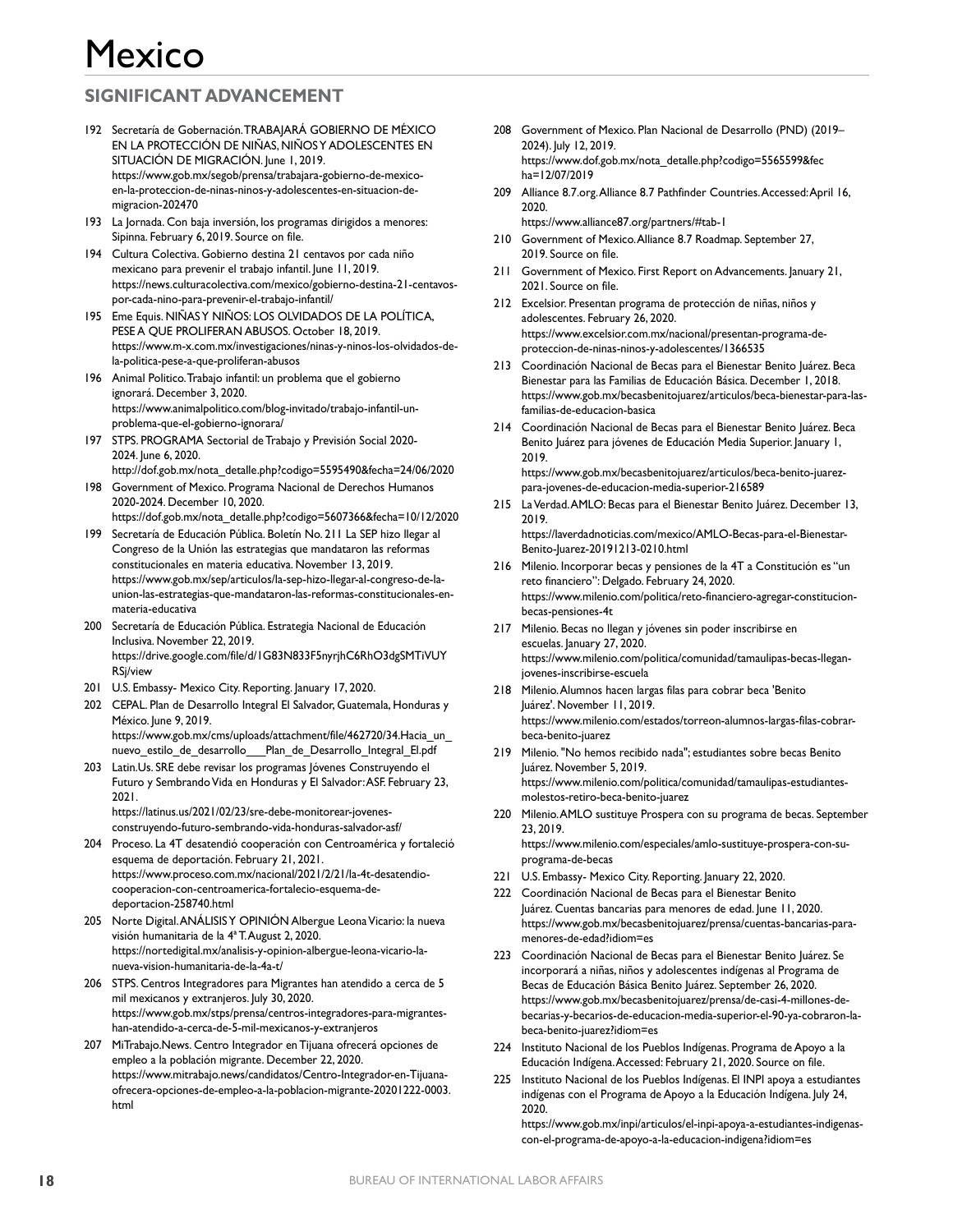## **SIGNIFICANT ADVANCEMENT**

- 192 Secretaría de Gobernación. TRABAJARÁ GOBIERNO DE MÉXICO EN LA PROTECCIÓN DE NIÑAS, NIÑOS Y ADOLESCENTES EN SITUACIÓN DE MIGRACIÓN. June 1, 2019. https://www.gob.mx/segob/prensa/trabajara-gobierno-de-mexicoen-la-proteccion-de-ninas-ninos-y-adolescentes-en-situacion-demigracion-202470
- 193 La Jornada. Con baja inversión, los programas dirigidos a menores: Sipinna. February 6, 2019. Source on file.
- 194 Cultura Colectiva. Gobierno destina 21 centavos por cada niño mexicano para prevenir el trabajo infantil. June 11, 2019. https://news.culturacolectiva.com/mexico/gobierno-destina-21-centavospor-cada-nino-para-prevenir-el-trabajo-infantil/
- 195 Eme Equis. NIÑAS Y NIÑOS: LOS OLVIDADOS DE LA POLÍTICA, PESE A QUE PROLIFERAN ABUSOS. October 18, 2019. https://www.m-x.com.mx/investigaciones/ninas-y-ninos-los-olvidados-dela-politica-pese-a-que-proliferan-abusos
- 196 Animal Politico. Trabajo infantil: un problema que el gobierno ignorará. December 3, 2020. https://www.animalpolitico.com/blog-invitado/trabajo-infantil-unproblema-que-el-gobierno-ignorara/
- 197 STPS. PROGRAMA Sectorial de Trabajo y Previsión Social 2020- 2024. June 6, 2020.
- http://dof.gob.mx/nota\_detalle.php?codigo=5595490&fecha=24/06/2020 198 Government of Mexico. Programa Nacional de Derechos Humanos
- 2020-2024. December 10, 2020. https://dof.gob.mx/nota\_detalle.php?codigo=5607366&fecha=10/12/2020
- 199 Secretaría de Educación Pública. Boletín No. 211 La SEP hizo llegar al Congreso de la Unión las estrategias que mandataron las reformas constitucionales en materia educativa. November 13, 2019. https://www.gob.mx/sep/articulos/la-sep-hizo-llegar-al-congreso-de-launion-las-estrategias-que-mandataron-las-reformas-constitucionales-enmateria-educativa
- 200 Secretaría de Educación Pública. Estrategia Nacional de Educación Inclusiva. November 22, 2019. https://drive.google.com/file/d/1G83N833F5nyrjhC6RhO3dgSMTiVUY RSj/view
- 201 U.S. Embassy- Mexico City. Reporting. January 17, 2020.
- 202 CEPAL. Plan de Desarrollo Integral El Salvador, Guatemala, Honduras y México. June 9, 2019. https://www.gob.mx/cms/uploads/attachment/file/462720/34.Hacia\_un\_
- nuevo\_estilo\_de\_desarrollo\_\_\_Plan\_de\_Desarrollo\_Integral\_El.pdf 203 Latin.Us. SRE debe revisar los programas Jóvenes Construyendo el Futuro y Sembrando Vida en Honduras y El Salvador: ASF. February 23, 2021.

https://latinus.us/2021/02/23/sre-debe-monitorear-jovenesconstruyendo-futuro-sembrando-vida-honduras-salvador-asf/

- 204 Proceso. La 4T desatendió cooperación con Centroamérica y fortaleció esquema de deportación. February 21, 2021. https://www.proceso.com.mx/nacional/2021/2/21/la-4t-desatendiocooperacion-con-centroamerica-fortalecio-esquema-dedeportacion-258740.html
- 205 Norte Digital. ANÁLISIS Y OPINIÓN Albergue Leona Vicario: la nueva visión humanitaria de la 4ª T. August 2, 2020. https://nortedigital.mx/analisis-y-opinion-albergue-leona-vicario-lanueva-vision-humanitaria-de-la-4a-t/
- 206 STPS. Centros Integradores para Migrantes han atendido a cerca de 5 mil mexicanos y extranjeros. July 30, 2020. https://www.gob.mx/stps/prensa/centros-integradores-para-migranteshan-atendido-a-cerca-de-5-mil-mexicanos-y-extranjeros
- 207 MiTrabajo.News. Centro Integrador en Tijuana ofrecerá opciones de empleo a la población migrante. December 22, 2020. https://www.mitrabajo.news/candidatos/Centro-Integrador-en-Tijuanaofrecera-opciones-de-empleo-a-la-poblacion-migrante-20201222-0003. html
- 208 Government of Mexico. Plan Nacional de Desarrollo (PND) (2019– 2024). July 12, 2019. https://www.dof.gob.mx/nota\_detalle.php?codigo=5565599&fec ha=12/07/2019
- 209 Alliance 8.7.org. Alliance 8.7 Pathfinder Countries. Accessed: April 16, 2020. https://www.alliance87.org/partners/#tab-1
- 210 Government of Mexico. Alliance 8.7 Roadmap. September 27, 2019. Source on file.
- 211 Government of Mexico. First Report on Advancements. January 21, 2021. Source on file.
- 212 Excelsior. Presentan programa de protección de niñas, niños y adolescentes. February 26, 2020. https://www.excelsior.com.mx/nacional/presentan-programa-deproteccion-de-ninas-ninos-y-adolescentes/1366535
- 213 Coordinación Nacional de Becas para el Bienestar Benito Juárez. Beca Bienestar para las Familias de Educación Básica. December 1, 2018. https://www.gob.mx/becasbenitojuarez/articulos/beca-bienestar-para-lasfamilias-de-educacion-basica
- 214 Coordinación Nacional de Becas para el Bienestar Benito Juárez. Beca Benito Juárez para jóvenes de Educación Media Superior. January 1, 2019. https://www.gob.mx/becasbenitojuarez/articulos/beca-benito-juarezpara-jovenes-de-educacion-media-superior-216589
- 215 La Verdad. AMLO: Becas para el Bienestar Benito Juárez. December 13, 2019. https://laverdadnoticias.com/mexico/AMLO-Becas-para-el-Bienestar-Benito-Juarez-20191213-0210.html
- 216 Milenio. Incorporar becas y pensiones de la 4T a Constitución es "un reto financiero": Delgado. February 24, 2020. https://www.milenio.com/politica/reto-financiero-agregar-constitucionbecas-pensiones-4t
- 217 Milenio. Becas no llegan y jóvenes sin poder inscribirse en escuelas. January 27, 2020. https://www.milenio.com/politica/comunidad/tamaulipas-becas-lleganjovenes-inscribirse-escuela
- 218 Milenio. Alumnos hacen largas filas para cobrar beca 'Benito Juárez'. November 11, 2019. https://www.milenio.com/estados/torreon-alumnos-largas-filas-cobrarbeca-benito-juarez
- 219 Milenio. "No hemos recibido nada"; estudiantes sobre becas Benito Juárez. November 5, 2019. https://www.milenio.com/politica/comunidad/tamaulipas-estudiantesmolestos-retiro-beca-benito-juarez
- 220 Milenio. AMLO sustituye Prospera con su programa de becas. September 23, 2019. https://www.milenio.com/especiales/amlo-sustituye-prospera-con-suprograma-de-becas
- 221 U.S. Embassy- Mexico City. Reporting. January 22, 2020.
- 222 Coordinación Nacional de Becas para el Bienestar Benito Juárez. Cuentas bancarias para menores de edad. June 11, 2020. https://www.gob.mx/becasbenitojuarez/prensa/cuentas-bancarias-paramenores-de-edad?idiom=es
- 223 Coordinación Nacional de Becas para el Bienestar Benito Juárez. Se incorporará a niñas, niños y adolescentes indígenas al Programa de Becas de Educación Básica Benito Juárez. September 26, 2020. https://www.gob.mx/becasbenitojuarez/prensa/de-casi-4-millones-debecarias-y-becarios-de-educacion-media-superior-el-90-ya-cobraron-labeca-benito-juarez?idiom=es
- 224 Instituto Nacional de los Pueblos Indígenas. Programa de Apoyo a la Educación Indígena. Accessed: February 21, 2020. Source on file.
- 225 Instituto Nacional de los Pueblos Indígenas. El INPI apoya a estudiantes indígenas con el Programa de Apoyo a la Educación Indígena. July 24, 2020.

https://www.gob.mx/inpi/articulos/el-inpi-apoya-a-estudiantes-indigenascon-el-programa-de-apoyo-a-la-educacion-indigena?idiom=es